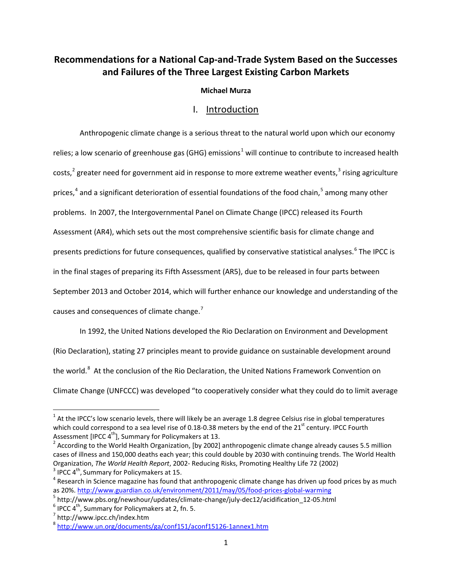# **Recommendations for a National Cap-and-Trade System Based on the Successes and Failures of the Three Largest Existing Carbon Markets**

### **Michael Murza**

# I. Introduction

Anthropogenic climate change is a serious threat to the natural world upon which our economy relies; a low scenario of greenhouse gas (GHG) emissions<sup>[1](#page-0-0)</sup> will continue to contribute to increased health costs,<sup>[2](#page-0-1)</sup> greater need for government aid in response to more extreme weather events,<sup>[3](#page-0-2)</sup> rising agriculture prices,<sup>[4](#page-0-3)</sup> and a significant deterioration of essential foundations of the food chain,<sup>[5](#page-0-4)</sup> among many other problems. In 2007, the Intergovernmental Panel on Climate Change (IPCC) released its Fourth Assessment (AR4), which sets out the most comprehensive scientific basis for climate change and presents predictions for future consequences, qualified by conservative statistical analyses.<sup>[6](#page-0-5)</sup> The IPCC is in the final stages of preparing its Fifth Assessment (AR5), due to be released in four parts between September 2013 and October 2014, which will further enhance our knowledge and understanding of the causes and consequences of climate change.<sup>[7](#page-0-6)</sup>

In 1992, the United Nations developed the Rio Declaration on Environment and Development (Rio Declaration), stating 27 principles meant to provide guidance on sustainable development around the world.<sup>[8](#page-0-7)</sup> At the conclusion of the Rio Declaration, the United Nations Framework Convention on Climate Change (UNFCCC) was developed "to cooperatively consider what they could do to limit average

<span id="page-0-0"></span> $1$  At the IPCC's low scenario levels, there will likely be an average 1.8 degree Celsius rise in global temperatures which could correspond to a sea level rise of 0.18-0.38 meters by the end of the 21<sup>st</sup> century. IPCC Fourth

<span id="page-0-1"></span>Assessment [IPCC 4<sup>th</sup>], Summary for Policymakers at 13.<br><sup>2</sup> According to the World Health Organization, [by 2002] anthropogenic climate change already causes 5.5 million cases of illness and 150,000 deaths each year; this could double by 2030 with continuing trends. The World Health Organization, The World Health Report, 2002- Reducing Risks, Promoting Healthy Life 72 (2002)<br><sup>3</sup> IPCC 4<sup>th</sup>, Summary for Policymakers at 15.<br><sup>4</sup> Research in Science magazine has found that anthropogenic climate change has

<span id="page-0-3"></span><span id="page-0-2"></span>

<span id="page-0-4"></span>as 20%.<http://www.guardian.co.uk/environment/2011/may/05/food-prices-global-warming><br>
<sup>5</sup> http://www.pbs.org/newshour/updates/climate-change/july-dec12/acidification\_12-05.html<br>
<sup>6</sup> IPCC 4<sup>th</sup>, Summary for Policymakers at

<span id="page-0-5"></span>

<span id="page-0-6"></span>

<span id="page-0-7"></span><sup>8</sup> <http://www.un.org/documents/ga/conf151/aconf15126-1annex1.htm>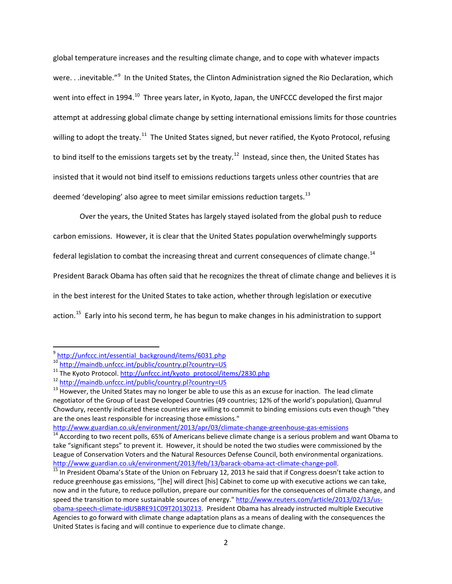global temperature increases and the resulting climate change, and to cope with whatever impacts were. . .inevitable."<sup>[9](#page-1-0)</sup> In the United States, the Clinton Administration signed the Rio Declaration, which went into effect in 1994.<sup>[10](#page-1-1)</sup> Three years later, in Kyoto, Japan, the UNFCCC developed the first major attempt at addressing global climate change by setting international emissions limits for those countries willing to adopt the treaty.<sup>11</sup> The United States signed, but never ratified, the Kyoto Protocol, refusing to bind itself to the emissions targets set by the treaty.<sup>[12](#page-1-3)</sup> Instead, since then, the United States has insisted that it would not bind itself to emissions reductions targets unless other countries that are deemed 'developing' also agree to meet similar emissions reduction targets.<sup>[13](#page-1-4)</sup>

Over the years, the United States has largely stayed isolated from the global push to reduce carbon emissions. However, it is clear that the United States population overwhelmingly supports federal legislation to combat the increasing threat and current consequences of climate change.<sup>[14](#page-1-5)</sup> President Barack Obama has often said that he recognizes the threat of climate change and believes it is in the best interest for the United States to take action, whether through legislation or executive action.<sup>15</sup> Early into his second term, he has begun to make changes in his administration to support

<span id="page-1-0"></span><sup>&</sup>lt;sup>9</sup> [http://unfccc.int/essential\\_background/items/6031.php](http://unfccc.int/essential_background/items/6031.php)<br><sup>10</sup> http://maindb.unfccc.int/public/country.pl?country=US

<span id="page-1-1"></span>

<span id="page-1-4"></span>

<span id="page-1-3"></span><span id="page-1-2"></span><sup>&</sup>lt;sup>11</sup> The Kyoto Protocol. http://unfccc.int/kyoto\_protocol/items/2830.php<br><sup>12</sup> <http://maindb.unfccc.int/public/country.pl?country=US><br><sup>13</sup> However, the United States may no longer be able to use this as an excuse for inactio negotiator of the Group of Least Developed Countries (49 countries; 12% of the world's population), Quamrul Chowdury, recently indicated these countries are willing to commit to binding emissions cuts even though "they are the ones least responsible for increasing those emissions."

<http://www.guardian.co.uk/environment/2013/apr/03/climate-change-greenhouse-gas-emissions>

<span id="page-1-5"></span> $14$  According to two recent polls, 65% of Americans believe climate change is a serious problem and want Obama to take "significant steps" to prevent it. However, it should be noted the two studies were commissioned by the League of Conservation Voters and the Natural Resources Defense Council, both environmental organizations. [http://www.guardian.co.uk/environment/2013/feb/13/barack-obama-act-climate-change-poll.](http://www.guardian.co.uk/environment/2013/feb/13/barack-obama-act-climate-change-poll)<br><sup>15</sup> In President Obama's State of the Union on February 12, 2013 he said that if Congress doesn't take action to

<span id="page-1-6"></span>reduce greenhouse gas emissions, "[he] will direct [his] Cabinet to come up with executive actions we can take, now and in the future, to reduce pollution, prepare our communities for the consequences of climate change, and speed the transition to more sustainable sources of energy." [http://www.reuters.com/article/2013/02/13/us](http://www.reuters.com/article/2013/02/13/us-obama-speech-climate-idUSBRE91C09T20130213)[obama-speech-climate-idUSBRE91C09T20130213.](http://www.reuters.com/article/2013/02/13/us-obama-speech-climate-idUSBRE91C09T20130213) President Obama has already instructed multiple Executive Agencies to go forward with climate change adaptation plans as a means of dealing with the consequences the United States is facing and will continue to experience due to climate change.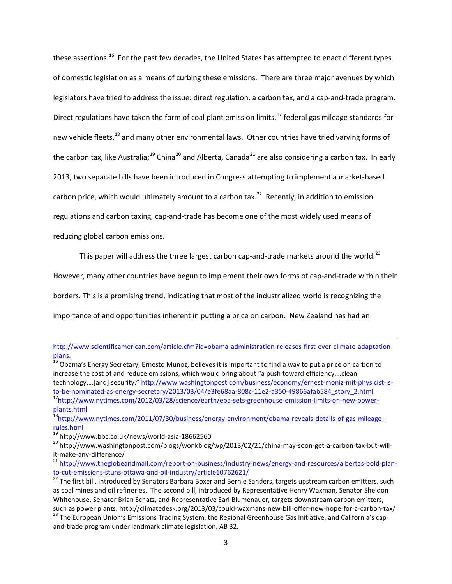these assertions.<sup>16</sup> For the past few decades, the United States has attempted to enact different types of domestic legislation as a means of curbing these emissions. There are three major avenues by which legislators have tried to address the issue: direct regulation, a carbon tax, and a cap-and-trade program. Direct regulations have taken the form of coal plant emission limits,<sup>[17](#page-2-1)</sup> federal gas mileage standards for new vehicle fleets,<sup>[18](#page-2-2)</sup> and many other environmental laws. Other countries have tried varying forms of the carbon tax, like Australia;<sup>[19](#page-2-3)</sup> China<sup>[20](#page-2-4)</sup> and Alberta, Canada<sup>[21](#page-2-5)</sup> are also considering a carbon tax. In early 2013, two separate bills have been introduced in Congress attempting to implement a market-based carbon price, which would ultimately amount to a carbon tax.<sup>[22](#page-2-6)</sup> Recently, in addition to emission regulations and carbon taxing, cap-and-trade has become one of the most widely used means of reducing global carbon emissions.

This paper will address the three largest carbon cap-and-trade markets around the world.<sup>23</sup>

However, many other countries have begun to implement their own forms of cap-and-trade within their

borders. This is a promising trend, indicating that most of the industrialized world is recognizing the

importance of and opportunities inherent in putting a price on carbon. New Zealand has had an

l

[http://www.scientificamerican.com/article.cfm?id=obama-administration-releases-first-ever-climate-adaptation](http://www.scientificamerican.com/article.cfm?id=obama-administration-releases-first-ever-climate-adaptation-plans)[plans.](http://www.scientificamerican.com/article.cfm?id=obama-administration-releases-first-ever-climate-adaptation-plans)<br><sup>16</sup> Obama's Energy Secretary, Ernesto Munoz, believes it is important to find a way to put a price on carbon to

<span id="page-2-0"></span>increase the cost of and reduce emissions, which would bring about "a push toward efficiency,…clean technology,…[and] security." [http://www.washingtonpost.com/business/economy/ernest-moniz-mit-physicist-is](http://www.washingtonpost.com/business/economy/ernest-moniz-mit-physicist-is-to-be-nominated-as-energy-secretary/2013/03/04/e3fe68aa-808c-11e2-a350-49866afab584_story_2.html)[to-be-nominated-as-energy-secretary/2013/03/04/e3fe68aa-808c-11e2-a350-49866afab584\\_story\\_2.html](http://www.washingtonpost.com/business/economy/ernest-moniz-mit-physicist-is-to-be-nominated-as-energy-secretary/2013/03/04/e3fe68aa-808c-11e2-a350-49866afab584_story_2.html)<br><sup>17</sup>http://www.nytimes.com/2012/03/28/science/earth/epa-sets-greenhouse-emission-limits-on-new-power-

<span id="page-2-1"></span>[plants.html](http://www.nytimes.com/2012/03/28/science/earth/epa-sets-greenhouse-emission-limits-on-new-power-plants.html) <sup>18</sup>http://www.nytimes.com/2011/07/30/business/energy-environment/obama-reveals-details-of-gas-mileage-

<span id="page-2-3"></span><span id="page-2-2"></span>[rules.html](http://www.nytimes.com/2011/07/30/business/energy-environment/obama-reveals-details-of-gas-mileage-rules.html)<br><sup>19</sup> http://www.bbc.co.uk/news/world-asia-18662560

<span id="page-2-4"></span><sup>&</sup>lt;sup>20</sup> http://www.washingtonpost.com/blogs/wonkblog/wp/2013/02/21/china-may-soon-get-a-carbon-tax-but-will-<br>it-make-any-difference/

<span id="page-2-5"></span><sup>&</sup>lt;sup>21</sup> [http://www.theglobeandmail.com/report-on-business/industry-news/energy-and-resources/albertas-bold-plan](http://www.theglobeandmail.com/report-on-business/industry-news/energy-and-resources/albertas-bold-plan-to-cut-emissions-stuns-ottawa-and-oil-industry/article10762621/)[to-cut-emissions-stuns-ottawa-and-oil-industry/article10762621/](http://www.theglobeandmail.com/report-on-business/industry-news/energy-and-resources/albertas-bold-plan-to-cut-emissions-stuns-ottawa-and-oil-industry/article10762621/)<br><sup>22</sup> The first bill, introduced by Senators Barbara Boxer and Bernie Sanders, targets upstream carbon emitters, such

<span id="page-2-6"></span>as coal mines and oil refineries. The second bill, introduced by Representative Henry Waxman, Senator Sheldon Whitehouse, Senator Brian Schatz, and Representative Earl Blumenauer, targets downstream carbon emitters,

<span id="page-2-7"></span>such as power plants. http://climatedesk.org/2013/03/could-waxmans-new-bill-offer-new-hope-for-a-carbon-tax/<br><sup>23</sup> The European Union's Emissions Trading System, the Regional Greenhouse Gas Initiative, and California's capand-trade program under landmark climate legislation, AB 32.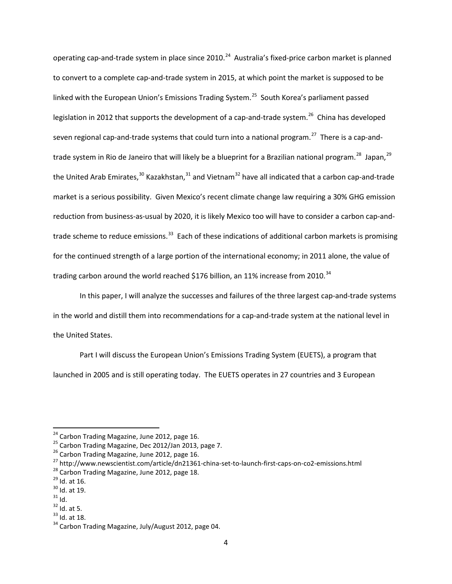operating cap-and-trade system in place since 2010.<sup>[24](#page-3-0)</sup> Australia's fixed-price carbon market is planned to convert to a complete cap-and-trade system in 2015, at which point the market is supposed to be linked with the European Union's Emissions Trading System.<sup>[25](#page-3-1)</sup> South Korea's parliament passed legislation in 2012 that supports the development of a cap-and-trade system.<sup>26</sup> China has developed seven regional cap-and-trade systems that could turn into a national program.<sup>27</sup> There is a cap-and-trade system in Rio de Janeiro that will likely be a blueprint for a Brazilian national program.<sup>28</sup> Japan,<sup>[29](#page-3-5)</sup> the United Arab Emirates,<sup>[30](#page-3-6)</sup> Kazakhstan,<sup>[31](#page-3-7)</sup> and Vietnam<sup>[32](#page-3-8)</sup> have all indicated that a carbon cap-and-trade market is a serious possibility. Given Mexico's recent climate change law requiring a 30% GHG emission reduction from business-as-usual by 2020, it is likely Mexico too will have to consider a carbon cap-andtrade scheme to reduce emissions.<sup>33</sup> Each of these indications of additional carbon markets is promising for the continued strength of a large portion of the international economy; in 2011 alone, the value of trading carbon around the world reached \$176 billion, an 11% increase from 2010. $34$ 

In this paper, I will analyze the successes and failures of the three largest cap-and-trade systems in the world and distill them into recommendations for a cap-and-trade system at the national level in the United States.

Part I will discuss the European Union's Emissions Trading System (EUETS), a program that launched in 2005 and is still operating today. The EUETS operates in 27 countries and 3 European

<span id="page-3-0"></span>

<span id="page-3-1"></span>

<span id="page-3-3"></span><span id="page-3-2"></span>

<sup>&</sup>lt;sup>24</sup> Carbon Trading Magazine, June 2012, page 16.<br><sup>25</sup> Carbon Trading Magazine, Dec 2012/Jan 2013, page 7.<br><sup>26</sup> Carbon Trading Magazine, June 2012, page 16.<br><sup>27</sup> http://www.newscientist.com/article/dn21361-china-set-to-la

<span id="page-3-5"></span><span id="page-3-4"></span>

<span id="page-3-6"></span>

<span id="page-3-7"></span>

<span id="page-3-9"></span><span id="page-3-8"></span>

<span id="page-3-10"></span>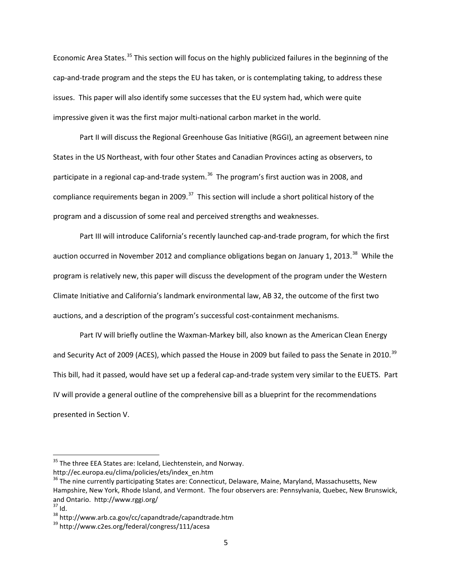Economic Area States.<sup>[35](#page-4-0)</sup> This section will focus on the highly publicized failures in the beginning of the cap-and-trade program and the steps the EU has taken, or is contemplating taking, to address these issues. This paper will also identify some successes that the EU system had, which were quite impressive given it was the first major multi-national carbon market in the world.

Part II will discuss the Regional Greenhouse Gas Initiative (RGGI), an agreement between nine States in the US Northeast, with four other States and Canadian Provinces acting as observers, to participate in a regional cap-and-trade system.<sup>[36](#page-4-1)</sup> The program's first auction was in 2008, and compliance requirements began in 2009.<sup>[37](#page-4-2)</sup> This section will include a short political history of the program and a discussion of some real and perceived strengths and weaknesses.

Part III will introduce California's recently launched cap-and-trade program, for which the first auction occurred in November 2012 and compliance obligations began on January 1, 2013.<sup>38</sup> While the program is relatively new, this paper will discuss the development of the program under the Western Climate Initiative and California's landmark environmental law, AB 32, the outcome of the first two auctions, and a description of the program's successful cost-containment mechanisms.

Part IV will briefly outline the Waxman-Markey bill, also known as the American Clean Energy and Security Act of 2009 (ACES), which passed the House in 2009 but failed to pass the Senate in 2010.<sup>[39](#page-4-4)</sup> This bill, had it passed, would have set up a federal cap-and-trade system very similar to the EUETS. Part IV will provide a general outline of the comprehensive bill as a blueprint for the recommendations presented in Section V.

<span id="page-4-0"></span><sup>&</sup>lt;sup>35</sup> The three EEA States are: Iceland, Liechtenstein, and Norway.

http://ec.europa.eu/clima/policies/ets/index\_en.htm

<span id="page-4-1"></span><sup>&</sup>lt;sup>36</sup> The nine currently participating States are: Connecticut, Delaware, Maine, Maryland, Massachusetts, New Hampshire, New York, Rhode Island, and Vermont. The four observers are: Pennsylvania, Quebec, New Brunswick, and Ontario. http://www.rggi.org/<br><sup>37</sup> Id.<br><sup>38</sup> http://www.arb.ca.gov/cc/capandtrade/capandtrade.htm<br><sup>39</sup> http://www.c2es.org/federal/congress/111/acesa

<span id="page-4-3"></span><span id="page-4-2"></span>

<span id="page-4-4"></span>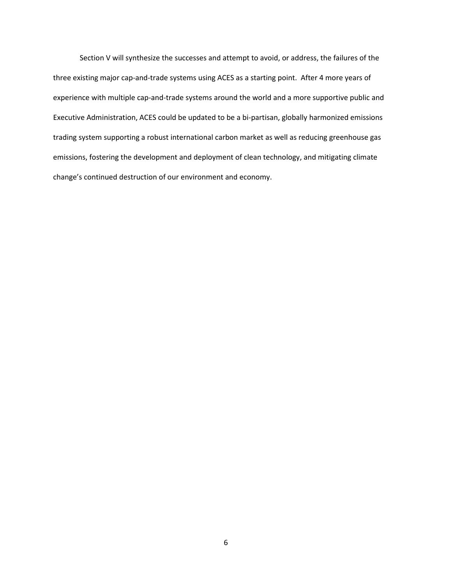Section V will synthesize the successes and attempt to avoid, or address, the failures of the three existing major cap-and-trade systems using ACES as a starting point. After 4 more years of experience with multiple cap-and-trade systems around the world and a more supportive public and Executive Administration, ACES could be updated to be a bi-partisan, globally harmonized emissions trading system supporting a robust international carbon market as well as reducing greenhouse gas emissions, fostering the development and deployment of clean technology, and mitigating climate change's continued destruction of our environment and economy.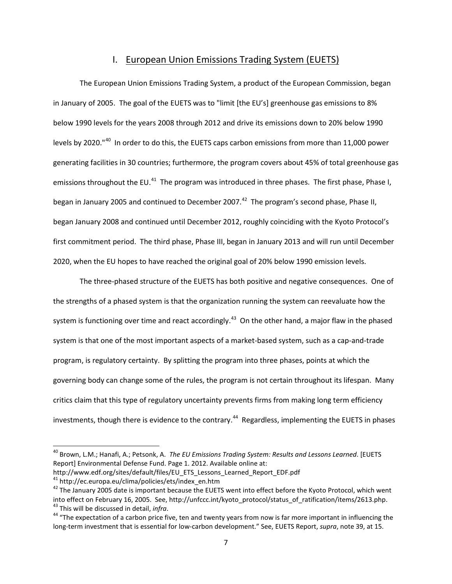### I. European Union Emissions Trading System (EUETS)

The European Union Emissions Trading System, a product of the European Commission, began in January of 2005. The goal of the EUETS was to "limit [the EU's] greenhouse gas emissions to 8% below 1990 levels for the years 2008 through 2012 and drive its emissions down to 20% below 1990 levels by 2020."<sup>[40](#page-6-0)</sup> In order to do this, the EUETS caps carbon emissions from more than 11,000 power generating facilities in 30 countries; furthermore, the program covers about 45% of total greenhouse gas emissions throughout the EU.<sup>41</sup> The program was introduced in three phases. The first phase, Phase I, began in January 2005 and continued to December 2007.<sup>42</sup> The program's second phase, Phase II, began January 2008 and continued until December 2012, roughly coinciding with the Kyoto Protocol's first commitment period. The third phase, Phase III, began in January 2013 and will run until December 2020, when the EU hopes to have reached the original goal of 20% below 1990 emission levels.

The three-phased structure of the EUETS has both positive and negative consequences. One of the strengths of a phased system is that the organization running the system can reevaluate how the system is functioning over time and react accordingly.<sup>[43](#page-6-3)</sup> On the other hand, a major flaw in the phased system is that one of the most important aspects of a market-based system, such as a cap-and-trade program, is regulatory certainty. By splitting the program into three phases, points at which the governing body can change some of the rules, the program is not certain throughout its lifespan. Many critics claim that this type of regulatory uncertainty prevents firms from making long term efficiency investments, though there is evidence to the contrary.<sup>44</sup> Regardless, implementing the EUETS in phases

http://www.edf.org/sites/default/files/EU\_ETS\_Lessons\_Learned\_Report\_EDF.pdf

<span id="page-6-0"></span> <sup>40</sup> Brown, L.M.; Hanafi, A.; Petsonk, A. *The EU Emissions Trading System: Results and Lessons Learned*. [EUETS Report] Environmental Defense Fund. Page 1. 2012. Available online at:

<span id="page-6-1"></span>

<span id="page-6-2"></span> $42$  The January 2005 date is important because the EUETS went into effect before the Kyoto Protocol, which went into effect on February 16, 2005. See, http://unfccc.int/kyoto\_protocol/status\_of\_ratification/items/2613.php.<br><sup>43</sup> This will be discussed in detail, *infra*.<br><sup>44</sup> "The expectation of a carbon price five, ten and twenty ye

<span id="page-6-4"></span><span id="page-6-3"></span>long-term investment that is essential for low-carbon development." See, EUETS Report, *supra*, note 39, at 15.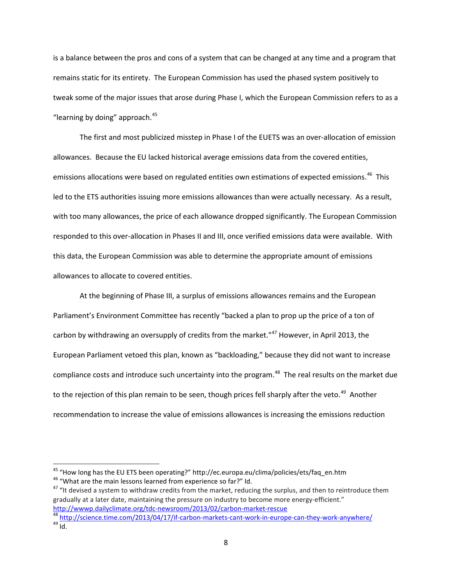is a balance between the pros and cons of a system that can be changed at any time and a program that remains static for its entirety. The European Commission has used the phased system positively to tweak some of the major issues that arose during Phase I, which the European Commission refers to as a "learning by doing" approach. $45$ 

The first and most publicized misstep in Phase I of the EUETS was an over-allocation of emission allowances. Because the EU lacked historical average emissions data from the covered entities, emissions allocations were based on regulated entities own estimations of expected emissions.<sup>[46](#page-7-1)</sup> This led to the ETS authorities issuing more emissions allowances than were actually necessary. As a result, with too many allowances, the price of each allowance dropped significantly. The European Commission responded to this over-allocation in Phases II and III, once verified emissions data were available. With this data, the European Commission was able to determine the appropriate amount of emissions allowances to allocate to covered entities.

At the beginning of Phase III, a surplus of emissions allowances remains and the European Parliament's Environment Committee has recently "backed a plan to prop up the price of a ton of carbon by withdrawing an oversupply of credits from the market."<sup>[47](#page-7-2)</sup> However, in April 2013, the European Parliament vetoed this plan, known as "backloading," because they did not want to increase compliance costs and introduce such uncertainty into the program. [48](#page-7-3) The real results on the market due to the rejection of this plan remain to be seen, though prices fell sharply after the veto.<sup>49</sup> Another recommendation to increase the value of emissions allowances is increasing the emissions reduction

<span id="page-7-2"></span><span id="page-7-1"></span>

<span id="page-7-0"></span><sup>&</sup>lt;sup>45</sup> "How long has the EU ETS been operating?" http://ec.europa.eu/clima/policies/ets/faq\_en.htm<br><sup>46</sup> "What are the main lessons learned from experience so far?" Id.<br><sup>47</sup> "It devised a system to withdraw credits from the gradually at a later date, maintaining the pressure on industry to become more energy-efficient."

<span id="page-7-4"></span><span id="page-7-3"></span><http://wwwp.dailyclimate.org/tdc-newsroom/2013/02/carbon-market-rescue><br><sup>48</sup> <http://science.time.com/2013/04/17/if-carbon-markets-cant-work-in-europe-can-they-work-anywhere/><br><sup>49</sup> Id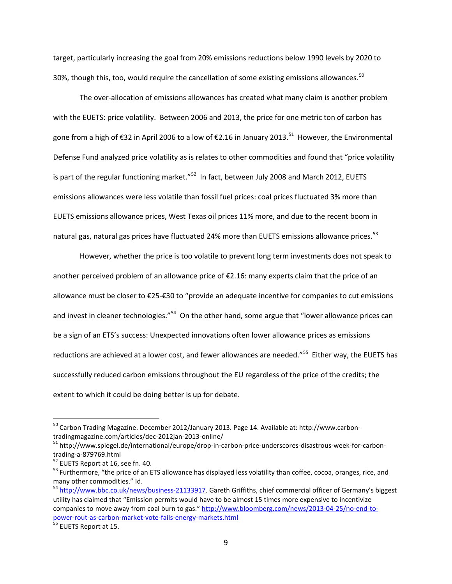target, particularly increasing the goal from 20% emissions reductions below 1990 levels by 2020 to 30%, though this, too, would require the cancellation of some existing emissions allowances.<sup>[50](#page-8-0)</sup>

The over-allocation of emissions allowances has created what many claim is another problem with the EUETS: price volatility. Between 2006 and 2013, the price for one metric ton of carbon has gone from a high of €32 in April 2006 to a low of €2.16 in January 2013.<sup>[51](#page-8-1)</sup> However, the Environmental Defense Fund analyzed price volatility as is relates to other commodities and found that "price volatility is part of the regular functioning market."<sup>[52](#page-8-2)</sup> In fact, between July 2008 and March 2012, EUETS emissions allowances were less volatile than fossil fuel prices: coal prices fluctuated 3% more than EUETS emissions allowance prices, West Texas oil prices 11% more, and due to the recent boom in natural gas, natural gas prices have fluctuated 24% more than EUETS emissions allowance prices.<sup>[53](#page-8-3)</sup>

However, whether the price is too volatile to prevent long term investments does not speak to another perceived problem of an allowance price of €2.16: many experts claim that the price of an allowance must be closer to €25-€30 to "provide an adequate incentive for companies to cut emissions and invest in cleaner technologies."<sup>54</sup> On the other hand, some argue that "lower allowance prices can be a sign of an ETS's success: Unexpected innovations often lower allowance prices as emissions reductions are achieved at a lower cost, and fewer allowances are needed."<sup>55</sup> Either way, the EUETS has successfully reduced carbon emissions throughout the EU regardless of the price of the credits; the extent to which it could be doing better is up for debate.

<span id="page-8-0"></span><sup>&</sup>lt;sup>50</sup> Carbon Trading Magazine. December 2012/January 2013. Page 14. Available at: http://www.carbon-

<span id="page-8-1"></span>tradingmagazine.com/articles/dec-2012jan-2013-online/<br><sup>51</sup> http://www.spiegel.de/international/europe/drop-in-carbon-price-underscores-disastrous-week-for-carbon-<br>trading-a-879769.html

<span id="page-8-3"></span><span id="page-8-2"></span><sup>&</sup>lt;sup>52</sup> EUETS Report at 16, see fn. 40.<br><sup>53</sup> Furthermore, "the price of an ETS allowance has displayed less volatility than coffee, cocoa, oranges, rice, and many other commodities." Id.

<span id="page-8-4"></span><sup>&</sup>lt;sup>54</sup> [http://www.bbc.co.uk/news/business-21133917.](http://www.bbc.co.uk/news/business-21133917) Gareth Griffiths, chief commercial officer of Germany's biggest utility has claimed that "Emission permits would have to be almost 15 times more expensive to incentivize companies to move away from coal burn to gas.[" http://www.bloomberg.com/news/2013-04-25/no-end-to](http://www.bloomberg.com/news/2013-04-25/no-end-to-power-rout-as-carbon-market-vote-fails-energy-markets.html)[power-rout-as-carbon-market-vote-fails-energy-markets.html](http://www.bloomberg.com/news/2013-04-25/no-end-to-power-rout-as-carbon-market-vote-fails-energy-markets.html) <sup>55</sup> EUETS Report at 15.

<span id="page-8-5"></span>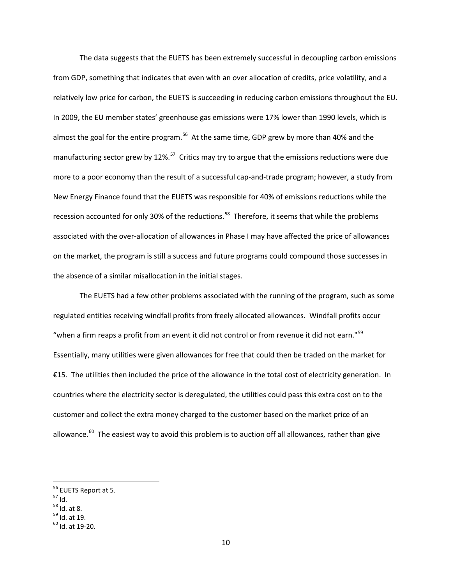The data suggests that the EUETS has been extremely successful in decoupling carbon emissions from GDP, something that indicates that even with an over allocation of credits, price volatility, and a relatively low price for carbon, the EUETS is succeeding in reducing carbon emissions throughout the EU. In 2009, the EU member states' greenhouse gas emissions were 17% lower than 1990 levels, which is almost the goal for the entire program.<sup>[56](#page-9-0)</sup> At the same time, GDP grew by more than 40% and the manufacturing sector grew by 12%.<sup>57</sup> Critics may try to argue that the emissions reductions were due more to a poor economy than the result of a successful cap-and-trade program; however, a study from New Energy Finance found that the EUETS was responsible for 40% of emissions reductions while the recession accounted for only 30% of the reductions.<sup>58</sup> Therefore, it seems that while the problems associated with the over-allocation of allowances in Phase I may have affected the price of allowances on the market, the program is still a success and future programs could compound those successes in the absence of a similar misallocation in the initial stages.

The EUETS had a few other problems associated with the running of the program, such as some regulated entities receiving windfall profits from freely allocated allowances. Windfall profits occur "when a firm reaps a profit from an event it did not control or from revenue it did not earn."<sup>[59](#page-9-3)</sup> Essentially, many utilities were given allowances for free that could then be traded on the market for €15. The utilities then included the price of the allowance in the total cost of electricity generation. In countries where the electricity sector is deregulated, the utilities could pass this extra cost on to the customer and collect the extra money charged to the customer based on the market price of an allowance. $^{60}$  $^{60}$  $^{60}$  The easiest way to avoid this problem is to auction off all allowances, rather than give

- <span id="page-9-1"></span>
- <span id="page-9-2"></span>

<span id="page-9-0"></span><sup>&</sup>lt;sup>56</sup> EUETS Report at 5.<br><sup>57</sup> Id.<br><sup>58</sup> Id. at 8.<br><sup>59</sup> Id. at 19.<br><sup>60</sup> Id. at 19-20.

<span id="page-9-3"></span>

<span id="page-9-4"></span>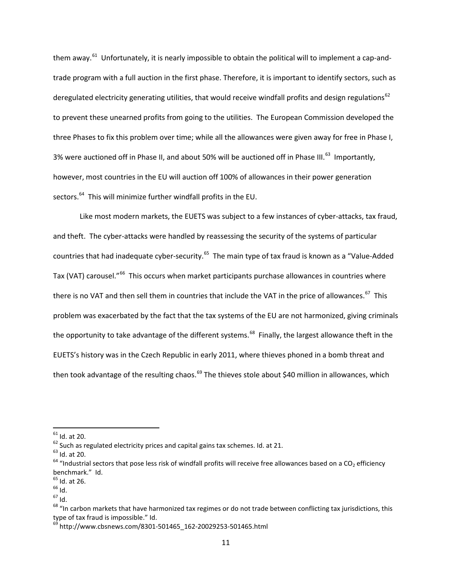them away.<sup>61</sup> Unfortunately, it is nearly impossible to obtain the political will to implement a cap-andtrade program with a full auction in the first phase. Therefore, it is important to identify sectors, such as deregulated electricity generating utilities, that would receive windfall profits and design regulations<sup>[62](#page-10-1)</sup> to prevent these unearned profits from going to the utilities. The European Commission developed the three Phases to fix this problem over time; while all the allowances were given away for free in Phase I, 3% were auctioned off in Phase II, and about 50% will be auctioned off in Phase III.<sup>63</sup> Importantly, however, most countries in the EU will auction off 100% of allowances in their power generation sectors.<sup>[64](#page-10-3)</sup> This will minimize further windfall profits in the EU.

Like most modern markets, the EUETS was subject to a few instances of cyber-attacks, tax fraud, and theft. The cyber-attacks were handled by reassessing the security of the systems of particular countries that had inadequate cyber-security.<sup>[65](#page-10-4)</sup> The main type of tax fraud is known as a "Value-Added Tax (VAT) carousel."<sup>[66](#page-10-5)</sup> This occurs when market participants purchase allowances in countries where there is no VAT and then sell them in countries that include the VAT in the price of allowances.<sup>67</sup> This problem was exacerbated by the fact that the tax systems of the EU are not harmonized, giving criminals the opportunity to take advantage of the different systems.<sup>[68](#page-10-7)</sup> Finally, the largest allowance theft in the EUETS's history was in the Czech Republic in early 2011, where thieves phoned in a bomb threat and then took advantage of the resulting chaos. $^{69}$  $^{69}$  $^{69}$  The thieves stole about \$40 million in allowances, which

<span id="page-10-3"></span><span id="page-10-2"></span>

<span id="page-10-1"></span><span id="page-10-0"></span><sup>&</sup>lt;sup>61</sup> Id. at 20.<br><sup>62</sup> Such as regulated electricity prices and capital gains tax schemes. Id. at 21.<br><sup>63</sup> Id. at 20.<br><sup>64</sup> "Industrial sectors that pose less risk of windfall profits will receive free allowances based on a benchmark." Id.<br><sup>65</sup> Id. at 26.

<span id="page-10-6"></span>

<span id="page-10-7"></span>

<span id="page-10-5"></span><span id="page-10-4"></span><sup>66</sup> Id.<br>
66 Id.<br>
<sup>67</sup> Id.<br>
<sup>68</sup> "In carbon markets that have harmonized tax regimes or do not trade between conflicting tax jurisdictions, this type of tax fraud is impossible." Id.

<span id="page-10-8"></span> $^{69}$  http://www.cbsnews.com/8301-501465\_162-20029253-501465.html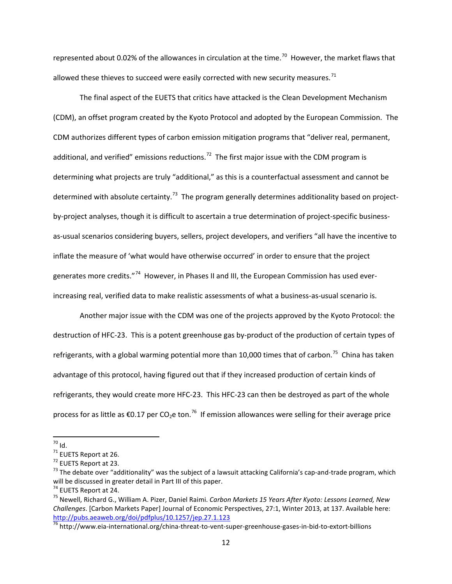represented about 0.02% of the allowances in circulation at the time.<sup>70</sup> However, the market flaws that allowed these thieves to succeed were easily corrected with new security measures.<sup>[71](#page-11-1)</sup>

The final aspect of the EUETS that critics have attacked is the Clean Development Mechanism (CDM), an offset program created by the Kyoto Protocol and adopted by the European Commission. The CDM authorizes different types of carbon emission mitigation programs that "deliver real, permanent, additional, and verified" emissions reductions.<sup>72</sup> The first major issue with the CDM program is determining what projects are truly "additional," as this is a counterfactual assessment and cannot be determined with absolute certainty.<sup>73</sup> The program generally determines additionality based on projectby-project analyses, though it is difficult to ascertain a true determination of project-specific businessas-usual scenarios considering buyers, sellers, project developers, and verifiers "all have the incentive to inflate the measure of 'what would have otherwise occurred' in order to ensure that the project generates more credits."<sup>[74](#page-11-4)</sup> However, in Phases II and III, the European Commission has used everincreasing real, verified data to make realistic assessments of what a business-as-usual scenario is.

Another major issue with the CDM was one of the projects approved by the Kyoto Protocol: the destruction of HFC-23. This is a potent greenhouse gas by-product of the production of certain types of refrigerants, with a global warming potential more than 10,000 times that of carbon.<sup>75</sup> China has taken advantage of this protocol, having figured out that if they increased production of certain kinds of refrigerants, they would create more HFC-23. This HFC-23 can then be destroyed as part of the whole process for as little as  $\epsilon$ 0.17 per CO<sub>2</sub>e ton.<sup>76</sup> If emission allowances were selling for their average price

<span id="page-11-1"></span>

<span id="page-11-3"></span><span id="page-11-2"></span>

<span id="page-11-0"></span><sup>&</sup>lt;sup>70</sup> Id.<br><sup>71</sup> EUETS Report at 26.<br><sup>72</sup> EUETS Report at 23.<br><sup>73</sup> The debate over "additionality" was the subject of a lawsuit attacking California's cap-and-trade program, which will be discussed in greater detail in Part III of this paper.<br> $^{74}$  EUETS Report at 24.

<span id="page-11-5"></span><span id="page-11-4"></span><sup>&</sup>lt;sup>75</sup> Newell, Richard G., William A. Pizer, Daniel Raimi. *Carbon Markets 15 Years After Kyoto: Lessons Learned, New Challenges*. [Carbon Markets Paper] Journal of Economic Perspectives, 27:1, Winter 2013, at 137. Available here: <http://pubs.aeaweb.org/doi/pdfplus/10.1257/jep.27.1.123>

<span id="page-11-6"></span><sup>76</sup> http://www.eia-international.org/china-threat-to-vent-super-greenhouse-gases-in-bid-to-extort-billions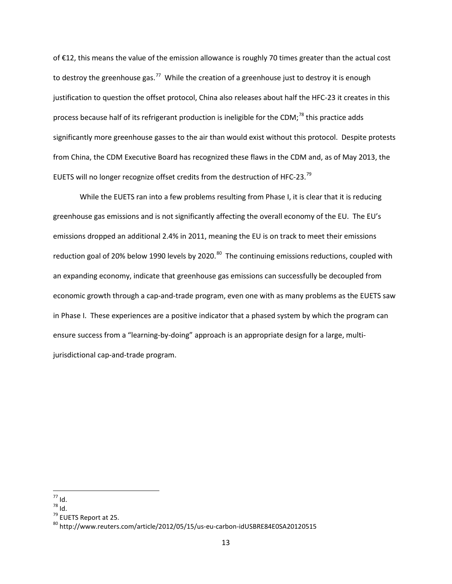of €12, this means the value of the emission allowance is roughly 70 times greater than the actual cost to destroy the greenhouse gas.<sup>[77](#page-12-0)</sup> While the creation of a greenhouse just to destroy it is enough justification to question the offset protocol, China also releases about half the HFC-23 it creates in this process because half of its refrigerant production is ineligible for the CDM;<sup>[78](#page-12-1)</sup> this practice adds significantly more greenhouse gasses to the air than would exist without this protocol. Despite protests from China, the CDM Executive Board has recognized these flaws in the CDM and, as of May 2013, the EUETS will no longer recognize offset credits from the destruction of HFC-23.<sup>[79](#page-12-2)</sup>

While the EUETS ran into a few problems resulting from Phase I, it is clear that it is reducing greenhouse gas emissions and is not significantly affecting the overall economy of the EU. The EU's emissions dropped an additional 2.4% in 2011, meaning the EU is on track to meet their emissions reduction goal of 20% below 1990 levels by 2020.<sup>[80](#page-12-3)</sup> The continuing emissions reductions, coupled with an expanding economy, indicate that greenhouse gas emissions can successfully be decoupled from economic growth through a cap-and-trade program, even one with as many problems as the EUETS saw in Phase I. These experiences are a positive indicator that a phased system by which the program can ensure success from a "learning-by-doing" approach is an appropriate design for a large, multijurisdictional cap-and-trade program.

<span id="page-12-3"></span><span id="page-12-2"></span>

<span id="page-12-1"></span><span id="page-12-0"></span><sup>&</sup>lt;sup>77</sup> Id.<br><sup>78</sup> Id.<br><sup>80</sup> http://www.reuters.com/article/2012/05/15/us-eu-carbon-idUSBRE84E0SA20120515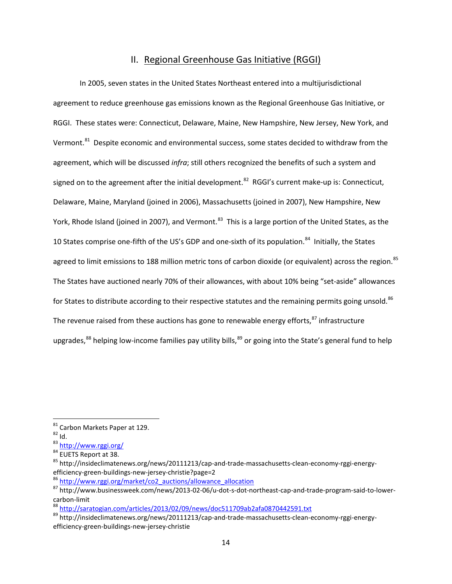## II. Regional Greenhouse Gas Initiative (RGGI)

In 2005, seven states in the United States Northeast entered into a multijurisdictional agreement to reduce greenhouse gas emissions known as the Regional Greenhouse Gas Initiative, or RGGI. These states were: Connecticut, Delaware, Maine, New Hampshire, New Jersey, New York, and Vermont.<sup>81</sup> Despite economic and environmental success, some states decided to withdraw from the agreement, which will be discussed *infra*; still others recognized the benefits of such a system and signed on to the agreement after the initial development.<sup>[82](#page-13-1)</sup> RGGI's current make-up is: Connecticut, Delaware, Maine, Maryland (joined in 2006), Massachusetts (joined in 2007), New Hampshire, New York, Rhode Island (joined in 2007), and Vermont.<sup>[83](#page-13-2)</sup> This is a large portion of the United States, as the 10 States comprise one-fifth of the US's GDP and one-sixth of its population.<sup>[84](#page-13-3)</sup> Initially, the States agreed to limit emissions to 188 million metric tons of carbon dioxide (or equivalent) across the region.<sup>85</sup> The States have auctioned nearly 70% of their allowances, with about 10% being "set-aside" allowances for States to distribute according to their respective statutes and the remaining permits going unsold. <sup>[86](#page-13-5)</sup> The revenue raised from these auctions has gone to renewable energy efforts, $87$  infrastructure upgrades, $^{88}$  $^{88}$  $^{88}$  helping low-income families pay utility bills,  $^{89}$  $^{89}$  $^{89}$  or going into the State's general fund to help

<span id="page-13-7"></span>

<span id="page-13-2"></span>

<span id="page-13-4"></span><span id="page-13-3"></span>

<span id="page-13-1"></span><span id="page-13-0"></span><sup>&</sup>lt;sup>81</sup> Carbon Markets Paper at 129.<br><sup>82</sup> Id. 83 <http://www.rggi.org/><br><sup>84</sup> EUETS Report at 38.<br><sup>85</sup> http://insideclimatenews.org/news/20111213/cap-and-trade-massachusetts-clean-economy-rggi-energy-<br>efficiency-green-buildings

<span id="page-13-6"></span><span id="page-13-5"></span> $\frac{86 \text{ http://www.rggi.org/marker/co2}+auction/allowance-allocation}{\text{http://www.rggi.org/marker/co2}+auction/allowance-allocation}$ <br>
87 http://www.businessweek.com/news/2013-02-06/u-dot-s-dot-northeast-cap-and-trade-program-said-to-lowercarbon-limit<br><sup>88</sup> <http://saratogian.com/articles/2013/02/09/news/doc511709ab2afa0870442591.txt><br><sup>89</sup> http://insideclimatenews.org/news/20111213/cap-and-trade-massachusetts-clean-economy-rggi-energy-

<span id="page-13-8"></span>efficiency-green-buildings-new-jersey-christie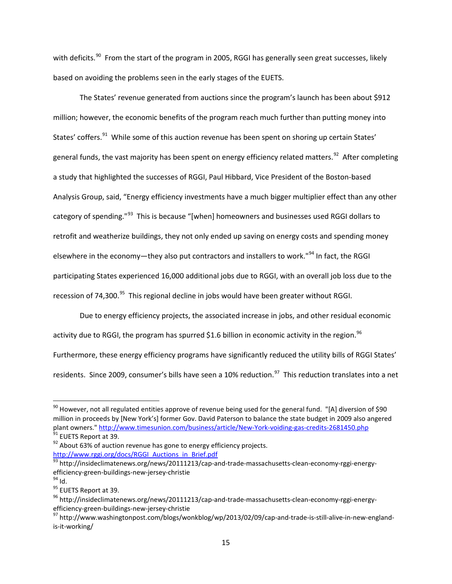with deficits.<sup>90</sup> From the start of the program in 2005, RGGI has generally seen great successes, likely based on avoiding the problems seen in the early stages of the EUETS.

The States' revenue generated from auctions since the program's launch has been about \$912 million; however, the economic benefits of the program reach much further than putting money into States' coffers.<sup>91</sup> While some of this auction revenue has been spent on shoring up certain States' general funds, the vast majority has been spent on energy efficiency related matters.<sup>[92](#page-14-2)</sup> After completing a study that highlighted the successes of RGGI, Paul Hibbard, Vice President of the Boston-based Analysis Group, said, "Energy efficiency investments have a much bigger multiplier effect than any other category of spending."<sup>[93](#page-14-3)</sup> This is because "[when] homeowners and businesses used RGGI dollars to retrofit and weatherize buildings, they not only ended up saving on energy costs and spending money elsewhere in the economy—they also put contractors and installers to work."<sup>[94](#page-14-4)</sup> In fact, the RGGI participating States experienced 16,000 additional jobs due to RGGI, with an overall job loss due to the recession of 74,300. $95$  This regional decline in jobs would have been greater without RGGI.

Due to energy efficiency projects, the associated increase in jobs, and other residual economic activity due to RGGI, the program has spurred \$1.6 billion in economic activity in the region.<sup>[96](#page-14-6)</sup> Furthermore, these energy efficiency programs have significantly reduced the utility bills of RGGI States' residents. Since 2009, consumer's bills have seen a 10% reduction.<sup>97</sup> This reduction translates into a net

<span id="page-14-0"></span> $90$  However, not all regulated entities approve of revenue being used for the general fund. "[A] diversion of \$90 million in proceeds by [New York's] former Gov. David Paterson to balance the state budget in 2009 also angered<br>plant owners." http://www.timesunion.com/business/article/New-York-voiding-gas-credits-2681450.php <sup>91</sup> EUETS Report at 39.<br><sup>92</sup> About 63% of auction revenue has gone to energy efficiency projects.

<span id="page-14-1"></span>

<span id="page-14-2"></span>[http://www.rggi.org/docs/RGGI\\_Auctions\\_in\\_Brief.pdf](http://www.rggi.org/docs/RGGI_Auctions_in_Brief.pdf)

<span id="page-14-3"></span><sup>93</sup> http://insideclimatenews.org/news/20111213/cap-and-trade-massachusetts-clean-economy-rggi-energyefficiency-green-buildings-new-jersey-christie<br><sup>94</sup> Id.<br><sup>95</sup> EUETS Report at 39.<br><sup>96</sup> http://insideclimatenews.org/news/20111213/cap-and-trade-massachusetts-clean-economy-rggi-energy-

<span id="page-14-4"></span>

<span id="page-14-5"></span>

<span id="page-14-6"></span>efficiency-green-buildings-new-jersey-christie<br><sup>97</sup> http://www.washingtonpost.com/blogs/wonkblog/wp/2013/02/09/cap-and-trade-is-still-alive-in-new-england-

<span id="page-14-7"></span>is-it-working/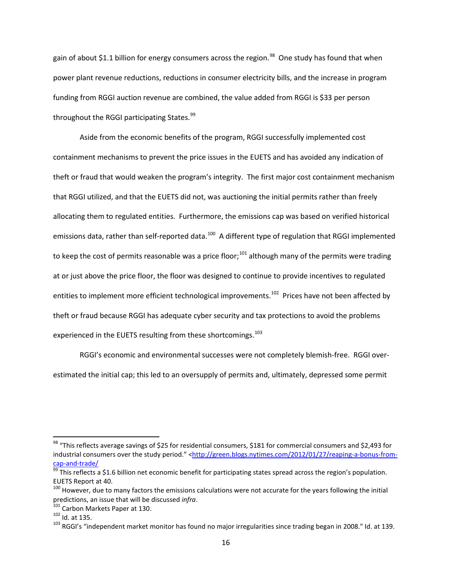gain of about \$1.1 billion for energy consumers across the region.<sup>[98](#page-15-0)</sup> One study has found that when power plant revenue reductions, reductions in consumer electricity bills, and the increase in program funding from RGGI auction revenue are combined, the value added from RGGI is \$33 per person throughout the RGGI participating States.<sup>[99](#page-15-1)</sup>

Aside from the economic benefits of the program, RGGI successfully implemented cost containment mechanisms to prevent the price issues in the EUETS and has avoided any indication of theft or fraud that would weaken the program's integrity. The first major cost containment mechanism that RGGI utilized, and that the EUETS did not, was auctioning the initial permits rather than freely allocating them to regulated entities. Furthermore, the emissions cap was based on verified historical emissions data, rather than self-reported data.<sup>100</sup> A different type of regulation that RGGI implemented to keep the cost of permits reasonable was a price floor;<sup>[101](#page-15-3)</sup> although many of the permits were trading at or just above the price floor, the floor was designed to continue to provide incentives to regulated entities to implement more efficient technological improvements.<sup>102</sup> Prices have not been affected by theft or fraud because RGGI has adequate cyber security and tax protections to avoid the problems experienced in the EUETS resulting from these shortcomings.<sup>[103](#page-15-5)</sup>

RGGI's economic and environmental successes were not completely blemish-free. RGGI overestimated the initial cap; this led to an oversupply of permits and, ultimately, depressed some permit

<span id="page-15-0"></span><sup>&</sup>lt;sup>98</sup> "This reflects average savings of \$25 for residential consumers, \$181 for commercial consumers and \$2,493 for industrial consumers over the study period." <http://green.blogs.nytimes.com/2012/01/27/reaping-a-bonus-from-<br>cap-and-trade/

 $\frac{99}{29}$  This reflects a \$1.6 billion net economic benefit for participating states spread across the region's population.

<span id="page-15-2"></span><span id="page-15-1"></span>EUETS Report at 40.<br><sup>100</sup> However, due to many factors the emissions calculations were not accurate for the years following the initial<br>predictions, an issue that will be discussed *infra*.<br><sup>101</sup> Carbon Markets Paper at 1

<span id="page-15-5"></span><span id="page-15-4"></span><span id="page-15-3"></span>predictions, an issue that will be discussed in the discussed *in* 102 Id. at 135.<br><sup>103</sup> RGGI's "independent market monitor has found no major irregularities since trading began in 2008." Id. at 139.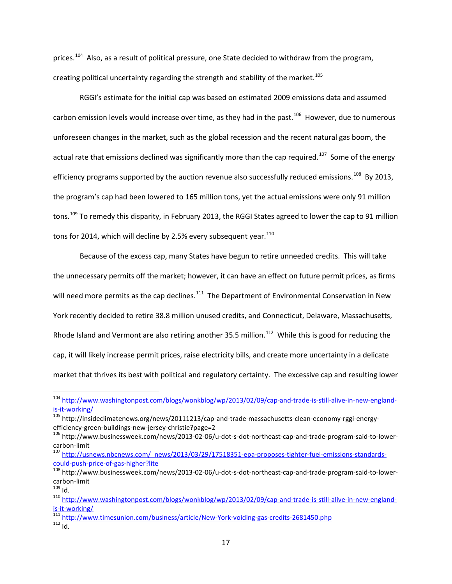prices.<sup>[104](#page-16-0)</sup> Also, as a result of political pressure, one State decided to withdraw from the program, creating political uncertainty regarding the strength and stability of the market.<sup>[105](#page-16-1)</sup>

RGGI's estimate for the initial cap was based on estimated 2009 emissions data and assumed carbon emission levels would increase over time, as they had in the past.<sup>[106](#page-16-2)</sup> However, due to numerous unforeseen changes in the market, such as the global recession and the recent natural gas boom, the actual rate that emissions declined was significantly more than the cap required.<sup>107</sup> Some of the energy efficiency programs supported by the auction revenue also successfully reduced emissions.<sup>[108](#page-16-4)</sup> By 2013, the program's cap had been lowered to 165 million tons, yet the actual emissions were only 91 million tons.<sup>[109](#page-16-5)</sup> To remedy this disparity, in February 2013, the RGGI States agreed to lower the cap to 91 million tons for 2014, which will decline by 2.5% every subsequent year. $110$ 

Because of the excess cap, many States have begun to retire unneeded credits. This will take the unnecessary permits off the market; however, it can have an effect on future permit prices, as firms will need more permits as the cap declines.<sup>[111](#page-16-7)</sup> The Department of Environmental Conservation in New York recently decided to retire 38.8 million unused credits, and Connecticut, Delaware, Massachusetts, Rhode Island and Vermont are also retiring another 35.5 million.<sup>112</sup> While this is good for reducing the cap, it will likely increase permit prices, raise electricity bills, and create more uncertainty in a delicate market that thrives its best with political and regulatory certainty. The excessive cap and resulting lower

<span id="page-16-0"></span> <sup>104</sup> [http://www.washingtonpost.com/blogs/wonkblog/wp/2013/02/09/cap-and-trade-is-still-alive-in-new-england](http://www.washingtonpost.com/blogs/wonkblog/wp/2013/02/09/cap-and-trade-is-still-alive-in-new-england-is-it-working/)[is-it-working/](http://www.washingtonpost.com/blogs/wonkblog/wp/2013/02/09/cap-and-trade-is-still-alive-in-new-england-is-it-working/)<br><sup>105</sup> http://insideclimatenews.org/news/20111213/cap-and-trade-massachusetts-clean-economy-rggi-energy-

<span id="page-16-1"></span>efficiency-green-buildings-new-jersey-christie?page=2<br><sup>106</sup> http://www.businessweek.com/news/2013-02-06/u-dot-s-dot-northeast-cap-and-trade-program-said-to-lower-

<span id="page-16-2"></span>

<span id="page-16-3"></span>carbon-limit<br><sup>107</sup> http://usnews.nbcnews.com/\_news/2013/03/29/17518351-epa-proposes-tighter-fuel-emissions-standards-<br>could-push-price-of-gas-higher?lite

<span id="page-16-4"></span><sup>&</sup>lt;sup>108</sup> http://www.businessweek.com/news/2013-02-06/u-dot-s-dot-northeast-cap-and-trade-program-said-to-lowercarbon-limit<br><sup>109</sup> Id.<br><sup>110</sup> [http://www.washingtonpost.com/blogs/wonkblog/wp/2013/02/09/cap-and-trade-is-still-alive-in-new-england-](http://www.washingtonpost.com/blogs/wonkblog/wp/2013/02/09/cap-and-trade-is-still-alive-in-new-england-is-it-working/)

<span id="page-16-5"></span>

<span id="page-16-6"></span>

<span id="page-16-8"></span><span id="page-16-7"></span>[is-it-working/](http://www.washingtonpost.com/blogs/wonkblog/wp/2013/02/09/cap-and-trade-is-still-alive-in-new-england-is-it-working/)<br><sup>111</sup> <http://www.timesunion.com/business/article/New-York-voiding-gas-credits-2681450.php><br><sup>112</sup> Id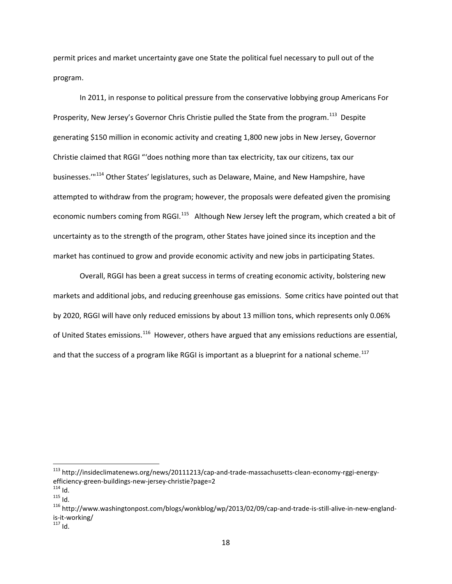permit prices and market uncertainty gave one State the political fuel necessary to pull out of the program.

In 2011, in response to political pressure from the conservative lobbying group Americans For Prosperity, New Jersey's Governor Chris Christie pulled the State from the program.<sup>113</sup> Despite generating \$150 million in economic activity and creating 1,800 new jobs in New Jersey, Governor Christie claimed that RGGI "'does nothing more than tax electricity, tax our citizens, tax our businesses.'"<sup>[114](#page-17-1)</sup> Other States' legislatures, such as Delaware, Maine, and New Hampshire, have attempted to withdraw from the program; however, the proposals were defeated given the promising economic numbers coming from RGGI.<sup>[115](#page-17-2)</sup> Although New Jersey left the program, which created a bit of uncertainty as to the strength of the program, other States have joined since its inception and the market has continued to grow and provide economic activity and new jobs in participating States.

Overall, RGGI has been a great success in terms of creating economic activity, bolstering new markets and additional jobs, and reducing greenhouse gas emissions. Some critics have pointed out that by 2020, RGGI will have only reduced emissions by about 13 million tons, which represents only 0.06% of United States emissions.<sup>116</sup> However, others have argued that any emissions reductions are essential, and that the success of a program like RGGI is important as a blueprint for a national scheme.<sup>[117](#page-17-4)</sup>

<span id="page-17-0"></span><sup>&</sup>lt;sup>113</sup> http://insideclimatenews.org/news/20111213/cap-and-trade-massachusetts-clean-economy-rggi-energy-<br>efficiency-green-buildings-new-jersey-christie?page=2

<span id="page-17-3"></span><span id="page-17-2"></span>

<span id="page-17-1"></span><sup>&</sup>lt;sup>114</sup> Id.  $\frac{114}{15}$  Id.  $\frac{1}{15}$  Id. 115 Id. 214 www.washingtonpost.com/blogs/wonkblog/wp/2013/02/09/cap-and-trade-is-still-alive-in-new-englandis-it-working/<br>
<sup>117</sup> Id

<span id="page-17-4"></span>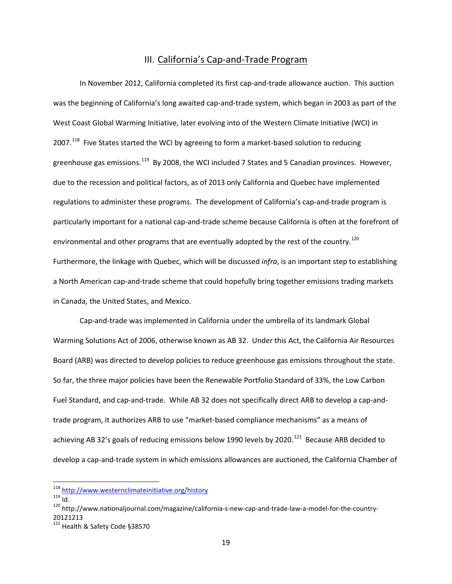# III. California's Cap-and-Trade Program

In November 2012, California completed its first cap-and-trade allowance auction. This auction was the beginning of California's long awaited cap-and-trade system, which began in 2003 as part of the West Coast Global Warming Initiative, later evolving into of the Western Climate Initiative (WCI) in 2007.<sup>[118](#page-18-0)</sup> Five States started the WCI by agreeing to form a market-based solution to reducing greenhouse gas emissions.<sup>[119](#page-18-1)</sup> By 2008, the WCI included 7 States and 5 Canadian provinces. However, due to the recession and political factors, as of 2013 only California and Quebec have implemented regulations to administer these programs. The development of California's cap-and-trade program is particularly important for a national cap-and-trade scheme because California is often at the forefront of environmental and other programs that are eventually adopted by the rest of the country.<sup>[120](#page-18-2)</sup> Furthermore, the linkage with Quebec, which will be discussed *infra*, is an important step to establishing a North American cap-and-trade scheme that could hopefully bring together emissions trading markets in Canada, the United States, and Mexico.

Cap-and-trade was implemented in California under the umbrella of its landmark Global Warming Solutions Act of 2006, otherwise known as AB 32. Under this Act, the California Air Resources Board (ARB) was directed to develop policies to reduce greenhouse gas emissions throughout the state. So far, the three major policies have been the Renewable Portfolio Standard of 33%, the Low Carbon Fuel Standard, and cap-and-trade. While AB 32 does not specifically direct ARB to develop a cap-andtrade program, it authorizes ARB to use "market-based compliance mechanisms" as a means of achieving AB 32's goals of reducing emissions below 1990 levels by 2020.<sup>121</sup> Because ARB decided to develop a cap-and-trade system in which emissions allowances are auctioned, the California Chamber of

<span id="page-18-2"></span>

<span id="page-18-1"></span><span id="page-18-0"></span><sup>&</sup>lt;sup>118</sup> <http://www.westernclimateinitiative.org/history><br><sup>119</sup> ld.<br><sup>120</sup> http://www.nationaljournal.com/magazine/california-s-new-cap-and-trade-law-a-model-for-the-country-20121213

<span id="page-18-3"></span><sup>&</sup>lt;sup>121</sup> Health & Safety Code §38570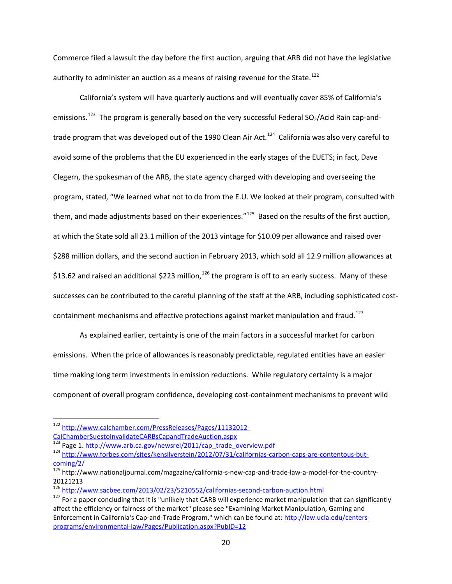Commerce filed a lawsuit the day before the first auction, arguing that ARB did not have the legislative authority to administer an auction as a means of raising revenue for the State.<sup>[122](#page-19-0)</sup>

California's system will have quarterly auctions and will eventually cover 85% of California's emissions.<sup>[123](#page-19-1)</sup> The program is generally based on the very successful Federal SO<sub>2</sub>/Acid Rain cap-andtrade program that was developed out of the 1990 Clean Air Act.<sup>124</sup> California was also very careful to avoid some of the problems that the EU experienced in the early stages of the EUETS; in fact, Dave Clegern, the spokesman of the ARB, the state agency charged with developing and overseeing the program, stated, "We learned what not to do from the E.U. We looked at their program, consulted with them, and made adjustments based on their experiences."<sup>125</sup> Based on the results of the first auction, at which the State sold all 23.1 million of the 2013 vintage for \$10.09 per allowance and raised over \$288 million dollars, and the second auction in February 2013, which sold all 12.9 million allowances at \$13.62 and raised an additional \$223 million,<sup>[126](#page-19-4)</sup> the program is off to an early success. Many of these successes can be contributed to the careful planning of the staff at the ARB, including sophisticated cost-containment mechanisms and effective protections against market manipulation and fraud.<sup>[127](#page-19-5)</sup>

As explained earlier, certainty is one of the main factors in a successful market for carbon emissions. When the price of allowances is reasonably predictable, regulated entities have an easier time making long term investments in emission reductions. While regulatory certainty is a major component of overall program confidence, developing cost-containment mechanisms to prevent wild

<span id="page-19-0"></span> <sup>122</sup> [http://www.calchamber.com/PressReleases/Pages/11132012-](http://www.calchamber.com/PressReleases/Pages/11132012-CalChamberSuestoInvalidateCARBsCapandTradeAuction.aspx)

[CalChamberSuestoInvalidateCARBsCapandTradeAuction.aspx](http://www.calchamber.com/PressReleases/Pages/11132012-CalChamberSuestoInvalidateCARBsCapandTradeAuction.aspx)<br>
<sup>123</sup> Page 1. http://www.arb.ca.gov/newsrel/2011/cap\_trade\_overview.pdf

<span id="page-19-2"></span><span id="page-19-1"></span><sup>124</sup> [http://www.forbes.com/sites/kensilverstein/2012/07/31/californias-carbon-caps-are-contentous-but](http://www.forbes.com/sites/kensilverstein/2012/07/31/californias-carbon-caps-are-contentous-but-coming/2/)[coming/2/](http://www.forbes.com/sites/kensilverstein/2012/07/31/californias-carbon-caps-are-contentous-but-coming/2/)

<span id="page-19-3"></span><sup>125</sup> http://www.nationaljournal.com/magazine/california-s-new-cap-and-trade-law-a-model-for-the-country-20121213<br><sup>126</sup> http://www.sacbee.com/2013/02/23/5210552/californias-second-carbon-auction.html

<span id="page-19-5"></span><span id="page-19-4"></span> $127$  For a paper concluding that it is "unlikely that CARB will experience market manipulation that can significantly affect the efficiency or fairness of the market" please see "Examining Market Manipulation, Gaming and Enforcement in California's Cap-and-Trade Program," which can be found at: [http://law.ucla.edu/centers](http://law.ucla.edu/centers-programs/environmental-law/Pages/Publication.aspx?PubID=12)[programs/environmental-law/Pages/Publication.aspx?PubID=12](http://law.ucla.edu/centers-programs/environmental-law/Pages/Publication.aspx?PubID=12)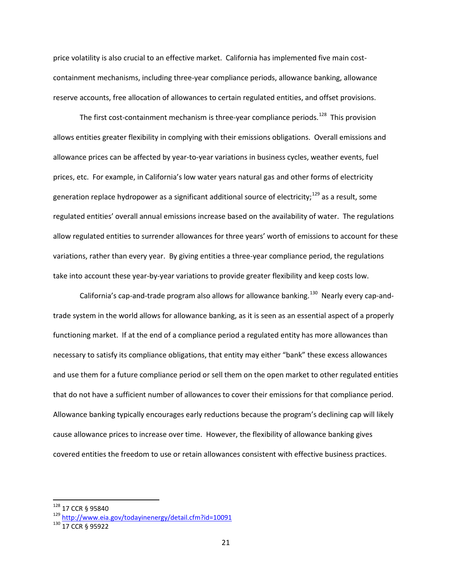price volatility is also crucial to an effective market. California has implemented five main costcontainment mechanisms, including three-year compliance periods, allowance banking, allowance reserve accounts, free allocation of allowances to certain regulated entities, and offset provisions.

The first cost-containment mechanism is three-year compliance periods.<sup>128</sup> This provision allows entities greater flexibility in complying with their emissions obligations. Overall emissions and allowance prices can be affected by year-to-year variations in business cycles, weather events, fuel prices, etc. For example, in California's low water years natural gas and other forms of electricity generation replace hydropower as a significant additional source of electricity;<sup>[129](#page-20-1)</sup> as a result, some regulated entities' overall annual emissions increase based on the availability of water. The regulations allow regulated entities to surrender allowances for three years' worth of emissions to account for these variations, rather than every year. By giving entities a three-year compliance period, the regulations take into account these year-by-year variations to provide greater flexibility and keep costs low.

California's cap-and-trade program also allows for allowance banking.<sup>[130](#page-20-2)</sup> Nearly every cap-andtrade system in the world allows for allowance banking, as it is seen as an essential aspect of a properly functioning market. If at the end of a compliance period a regulated entity has more allowances than necessary to satisfy its compliance obligations, that entity may either "bank" these excess allowances and use them for a future compliance period or sell them on the open market to other regulated entities that do not have a sufficient number of allowances to cover their emissions for that compliance period. Allowance banking typically encourages early reductions because the program's declining cap will likely cause allowance prices to increase over time. However, the flexibility of allowance banking gives covered entities the freedom to use or retain allowances consistent with effective business practices.

<span id="page-20-1"></span><span id="page-20-0"></span><sup>128 17</sup> CCR § 95840<br>
129 <http://www.eia.gov/todayinenergy/detail.cfm?id=10091><br>
130 17 CCR § 95922

<span id="page-20-2"></span>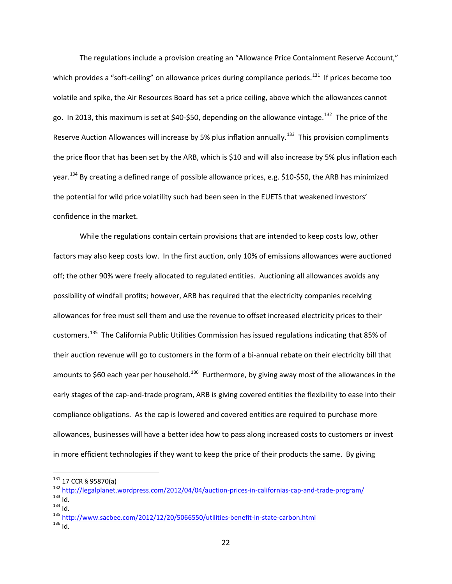The regulations include a provision creating an "Allowance Price Containment Reserve Account," which provides a "soft-ceiling" on allowance prices during compliance periods.<sup>131</sup> If prices become too volatile and spike, the Air Resources Board has set a price ceiling, above which the allowances cannot go. In 2013, this maximum is set at \$40-\$50, depending on the allowance vintage.<sup>132</sup> The price of the Reserve Auction Allowances will increase by 5% plus inflation annually.<sup>[133](#page-21-2)</sup> This provision compliments the price floor that has been set by the ARB, which is \$10 and will also increase by 5% plus inflation each year.<sup>[134](#page-21-3)</sup> By creating a defined range of possible allowance prices, e.g. \$10-\$50, the ARB has minimized the potential for wild price volatility such had been seen in the EUETS that weakened investors' confidence in the market.

While the regulations contain certain provisions that are intended to keep costs low, other factors may also keep costs low. In the first auction, only 10% of emissions allowances were auctioned off; the other 90% were freely allocated to regulated entities. Auctioning all allowances avoids any possibility of windfall profits; however, ARB has required that the electricity companies receiving allowances for free must sell them and use the revenue to offset increased electricity prices to their customers.[135](#page-21-4) The California Public Utilities Commission has issued regulations indicating that 85% of their auction revenue will go to customers in the form of a bi-annual rebate on their electricity bill that amounts to \$60 each year per household.<sup>[136](#page-21-5)</sup> Furthermore, by giving away most of the allowances in the early stages of the cap-and-trade program, ARB is giving covered entities the flexibility to ease into their compliance obligations. As the cap is lowered and covered entities are required to purchase more allowances, businesses will have a better idea how to pass along increased costs to customers or invest in more efficient technologies if they want to keep the price of their products the same. By giving

<span id="page-21-1"></span><span id="page-21-0"></span><sup>&</sup>lt;sup>131</sup> 17 CCR § 95870(a)<br>
<sup>132</sup> <http://legalplanet.wordpress.com/2012/04/04/auction-prices-in-californias-cap-and-trade-program/><br>
<sup>133</sup> ld.<br>
<sup>134</sup> ld.<br>
<sup>136</sup> http://www.sacbee.com/2012/12/20/5066550/utilities-benefit-in-st

<span id="page-21-4"></span><span id="page-21-3"></span><span id="page-21-2"></span>

<span id="page-21-5"></span>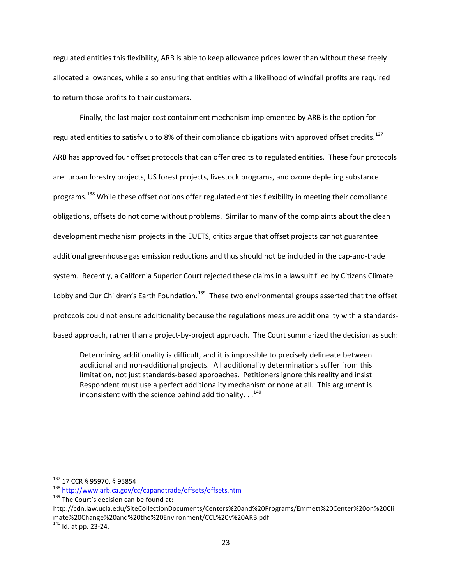regulated entities this flexibility, ARB is able to keep allowance prices lower than without these freely allocated allowances, while also ensuring that entities with a likelihood of windfall profits are required to return those profits to their customers.

Finally, the last major cost containment mechanism implemented by ARB is the option for regulated entities to satisfy up to 8% of their compliance obligations with approved offset credits.<sup>[137](#page-22-0)</sup> ARB has approved four offset protocols that can offer credits to regulated entities. These four protocols are: urban forestry projects, US forest projects, livestock programs, and ozone depleting substance programs.<sup>[138](#page-22-1)</sup> While these offset options offer regulated entities flexibility in meeting their compliance obligations, offsets do not come without problems. Similar to many of the complaints about the clean development mechanism projects in the EUETS, critics argue that offset projects cannot guarantee additional greenhouse gas emission reductions and thus should not be included in the cap-and-trade system. Recently, a California Superior Court rejected these claims in a lawsuit filed by Citizens Climate Lobby and Our Children's Earth Foundation.<sup>139</sup> These two environmental groups asserted that the offset protocols could not ensure additionality because the regulations measure additionality with a standardsbased approach, rather than a project-by-project approach. The Court summarized the decision as such:

Determining additionality is difficult, and it is impossible to precisely delineate between additional and non-additional projects. All additionality determinations suffer from this limitation, not just standards-based approaches. Petitioners ignore this reality and insist Respondent must use a perfect additionality mechanism or none at all. This argument is inconsistent with the science behind additionality.  $. .<sup>140</sup>$  $. .<sup>140</sup>$  $. .<sup>140</sup>$ 

<span id="page-22-1"></span><span id="page-22-0"></span><sup>&</sup>lt;sup>137</sup> 17 CCR § 95970, § 95854<br><sup>138</sup> <http://www.arb.ca.gov/cc/capandtrade/offsets/offsets.htm> <sup>139</sup> The Court's decision can be found at:

<span id="page-22-2"></span>http://cdn.law.ucla.edu/SiteCollectionDocuments/Centers%20and%20Programs/Emmett%20Center%20on%20Cli mate%20Change%20and%20the%20Environment/CCL%20v%20ARB.pdf

<span id="page-22-3"></span> $140$  Id. at pp. 23-24.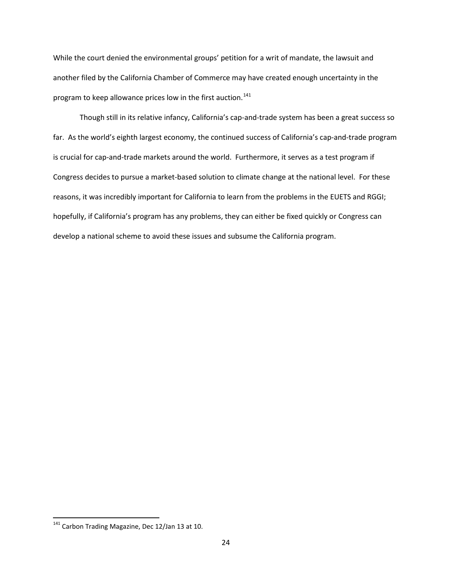While the court denied the environmental groups' petition for a writ of mandate, the lawsuit and another filed by the California Chamber of Commerce may have created enough uncertainty in the program to keep allowance prices low in the first auction.<sup>[141](#page-23-0)</sup>

Though still in its relative infancy, California's cap-and-trade system has been a great success so far. As the world's eighth largest economy, the continued success of California's cap-and-trade program is crucial for cap-and-trade markets around the world. Furthermore, it serves as a test program if Congress decides to pursue a market-based solution to climate change at the national level. For these reasons, it was incredibly important for California to learn from the problems in the EUETS and RGGI; hopefully, if California's program has any problems, they can either be fixed quickly or Congress can develop a national scheme to avoid these issues and subsume the California program.

<span id="page-23-0"></span><sup>&</sup>lt;sup>141</sup> Carbon Trading Magazine, Dec 12/Jan 13 at 10.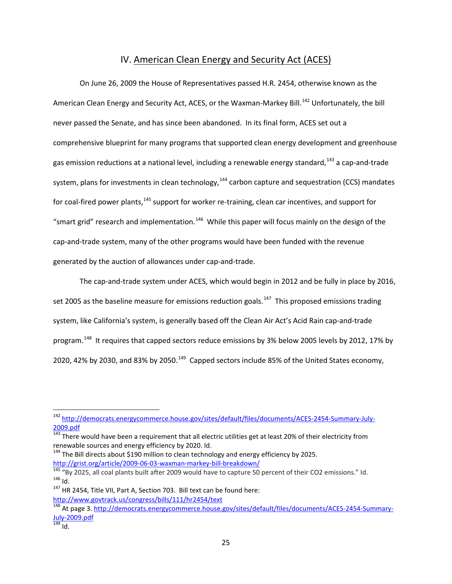# IV. American Clean Energy and Security Act (ACES)

On June 26, 2009 the House of Representatives passed H.R. 2454, otherwise known as the American Clean Energy and Security Act, ACES, or the Waxman-Markey Bill.<sup>[142](#page-24-0)</sup> Unfortunately, the bill never passed the Senate, and has since been abandoned. In its final form, ACES set out a comprehensive blueprint for many programs that supported clean energy development and greenhouse gas emission reductions at a national level, including a renewable energy standard, <sup>[143](#page-24-1)</sup> a cap-and-trade system, plans for investments in clean technology,<sup>[144](#page-24-2)</sup> carbon capture and sequestration (CCS) mandates for coal-fired power plants, <sup>[145](#page-24-3)</sup> support for worker re-training, clean car incentives, and support for "smart grid" research and implementation.<sup>[146](#page-24-4)</sup> While this paper will focus mainly on the design of the cap-and-trade system, many of the other programs would have been funded with the revenue generated by the auction of allowances under cap-and-trade.

The cap-and-trade system under ACES, which would begin in 2012 and be fully in place by 2016, set 2005 as the baseline measure for emissions reduction goals.<sup>147</sup> This proposed emissions trading system, like California's system, is generally based off the Clean Air Act's Acid Rain cap-and-trade program.<sup>[148](#page-24-6)</sup> It requires that capped sectors reduce emissions by 3% below 2005 levels by 2012, 17% by 2020, 42% by 2030, and 83% by 2050.<sup>149</sup> Capped sectors include 85% of the United States economy,

<sup>144</sup> The Bill directs about \$190 million to clean technology and energy efficiency by 2025.

<span id="page-24-0"></span> <sup>142</sup> [http://democrats.energycommerce.house.gov/sites/default/files/documents/ACES-2454-Summary-July-](http://democrats.energycommerce.house.gov/sites/default/files/documents/ACES-2454-Summary-July-2009.pdf)[2009.pdf](http://democrats.energycommerce.house.gov/sites/default/files/documents/ACES-2454-Summary-July-2009.pdf)

<span id="page-24-1"></span>**<sup>143</sup> There would have been a requirement that all electric utilities get at least 20% of their electricity from** renewable sources and energy efficiency by 2020. Id.

<span id="page-24-3"></span><span id="page-24-2"></span><http://grist.org/article/2009-06-03-waxman-markey-bill-breakdown/><br><sup>145</sup> "By 2025, all coal plants built after 2009 would have to capture 50 percent of their CO2 emissions." Id.<br><sup>146</sup> Id.<br><sup>147</sup> HR 2454, Title VII, Part A, S

<span id="page-24-5"></span><span id="page-24-4"></span><http://www.govtrack.us/congress/bills/111/hr2454/text>

<span id="page-24-6"></span><sup>148</sup> At page 3. [http://democrats.energycommerce.house.gov/sites/default/files/documents/ACES-2454-Summary-](http://democrats.energycommerce.house.gov/sites/default/files/documents/ACES-2454-Summary-July-2009.pdf) $\frac{\text{July-2009.pdf}}{\text{149}}$  $\frac{\text{July-2009.pdf}}{\text{149}}$  $\frac{\text{July-2009.pdf}}{\text{149}}$  Id.

<span id="page-24-7"></span>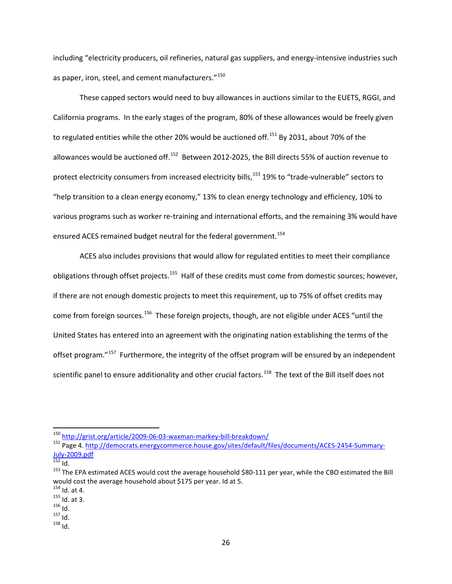including "electricity producers, oil refineries, natural gas suppliers, and energy-intensive industries such as paper, iron, steel, and cement manufacturers."<sup>[150](#page-25-0)</sup>

These capped sectors would need to buy allowances in auctions similar to the EUETS, RGGI, and California programs. In the early stages of the program, 80% of these allowances would be freely given to regulated entities while the other 20% would be auctioned off.<sup>[151](#page-25-1)</sup> By 2031, about 70% of the allowances would be auctioned off.<sup>[152](#page-25-2)</sup> Between 2012-2025, the Bill directs 55% of auction revenue to protect electricity consumers from increased electricity bills, [153](#page-25-3) 19% to "trade-vulnerable" sectors to "help transition to a clean energy economy," 13% to clean energy technology and efficiency, 10% to various programs such as worker re-training and international efforts, and the remaining 3% would have ensured ACES remained budget neutral for the federal government.<sup>[154](#page-25-4)</sup>

ACES also includes provisions that would allow for regulated entities to meet their compliance obligations through offset projects.<sup>[155](#page-25-5)</sup> Half of these credits must come from domestic sources; however, if there are not enough domestic projects to meet this requirement, up to 75% of offset credits may come from foreign sources.<sup>156</sup> These foreign projects, though, are not eligible under ACES "until the United States has entered into an agreement with the originating nation establishing the terms of the offset program."<sup>[157](#page-25-7)</sup> Furthermore, the integrity of the offset program will be ensured by an independent scientific panel to ensure additionality and other crucial factors.<sup>158</sup> The text of the Bill itself does not

<span id="page-25-8"></span>

<span id="page-25-1"></span><span id="page-25-0"></span><sup>150</sup> <http://grist.org/article/2009-06-03-waxman-markey-bill-breakdown/><br>151 Page 4. http://democrats.energycommerce.house.gov/sites/default/files/documents/ACES-2454-Summary-<br>July-2009.pdf

<span id="page-25-3"></span><span id="page-25-2"></span> $\frac{152}{152}$  Id.<br><sup>153</sup> The EPA estimated ACES would cost the average household \$80-111 per year, while the CBO estimated the Bill would cost the average household about \$175 per year. Id at 5.<br><sup>154</sup> Id. at 4.

<span id="page-25-5"></span><span id="page-25-4"></span> $\frac{155}{156}$  Id. at 3.<br>  $\frac{156}{157}$  Id.<br>  $\frac{157}{158}$  Id.

<span id="page-25-7"></span><span id="page-25-6"></span>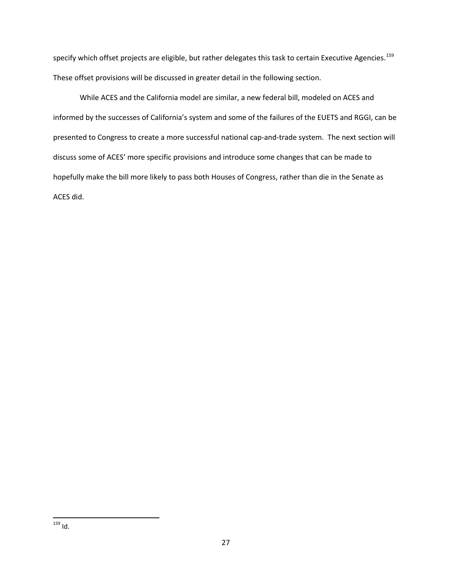specify which offset projects are eligible, but rather delegates this task to certain Executive Agencies.<sup>159</sup> These offset provisions will be discussed in greater detail in the following section.

<span id="page-26-0"></span>While ACES and the California model are similar, a new federal bill, modeled on ACES and informed by the successes of California's system and some of the failures of the EUETS and RGGI, can be presented to Congress to create a more successful national cap-and-trade system. The next section will discuss some of ACES' more specific provisions and introduce some changes that can be made to hopefully make the bill more likely to pass both Houses of Congress, rather than die in the Senate as ACES did.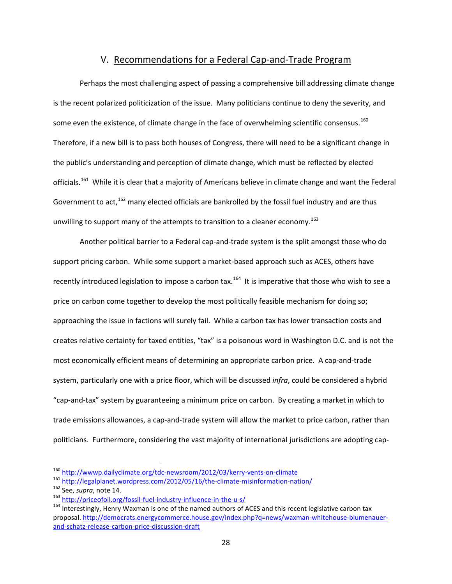### V. Recommendations for a Federal Cap-and-Trade Program

Perhaps the most challenging aspect of passing a comprehensive bill addressing climate change is the recent polarized politicization of the issue. Many politicians continue to deny the severity, and some even the existence, of climate change in the face of overwhelming scientific consensus.<sup>[160](#page-27-0)</sup> Therefore, if a new bill is to pass both houses of Congress, there will need to be a significant change in the public's understanding and perception of climate change, which must be reflected by elected officials.<sup>[161](#page-27-1)</sup> While it is clear that a majority of Americans believe in climate change and want the Federal Government to act, <sup>[162](#page-27-2)</sup> many elected officials are bankrolled by the fossil fuel industry and are thus unwilling to support many of the attempts to transition to a cleaner economy.<sup>[163](#page-27-3)</sup>

Another political barrier to a Federal cap-and-trade system is the split amongst those who do support pricing carbon. While some support a market-based approach such as ACES, others have recently introduced legislation to impose a carbon tax.<sup>[164](#page-27-4)</sup> It is imperative that those who wish to see a price on carbon come together to develop the most politically feasible mechanism for doing so; approaching the issue in factions will surely fail. While a carbon tax has lower transaction costs and creates relative certainty for taxed entities, "tax" is a poisonous word in Washington D.C. and is not the most economically efficient means of determining an appropriate carbon price. A cap-and-trade system, particularly one with a price floor, which will be discussed *infra*, could be considered a hybrid "cap-and-tax" system by guaranteeing a minimum price on carbon. By creating a market in which to trade emissions allowances, a cap-and-trade system will allow the market to price carbon, rather than politicians. Furthermore, considering the vast majority of international jurisdictions are adopting cap-

<span id="page-27-2"></span>

<span id="page-27-4"></span><span id="page-27-3"></span>

<span id="page-27-1"></span><span id="page-27-0"></span><sup>&</sup>lt;sup>160</sup> <http://wwwp.dailyclimate.org/tdc-newsroom/2012/03/kerry-vents-on-climate><br>
<sup>161</sup> <http://legalplanet.wordpress.com/2012/05/16/the-climate-misinformation-nation/><br>
<sup>162</sup> See, *supra*, note 14.<br>
<sup>163</sup> http://priceofoil.or proposal[. http://democrats.energycommerce.house.gov/index.php?q=news/waxman-whitehouse-blumenauer](http://democrats.energycommerce.house.gov/index.php?q=news/waxman-whitehouse-blumenauer-and-schatz-release-carbon-price-discussion-draft)[and-schatz-release-carbon-price-discussion-draft](http://democrats.energycommerce.house.gov/index.php?q=news/waxman-whitehouse-blumenauer-and-schatz-release-carbon-price-discussion-draft)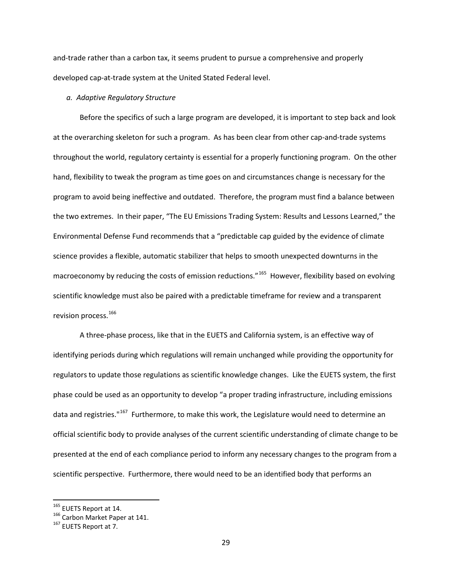and-trade rather than a carbon tax, it seems prudent to pursue a comprehensive and properly developed cap-at-trade system at the United Stated Federal level.

### *a. Adaptive Regulatory Structure*

Before the specifics of such a large program are developed, it is important to step back and look at the overarching skeleton for such a program. As has been clear from other cap-and-trade systems throughout the world, regulatory certainty is essential for a properly functioning program. On the other hand, flexibility to tweak the program as time goes on and circumstances change is necessary for the program to avoid being ineffective and outdated. Therefore, the program must find a balance between the two extremes. In their paper, "The EU Emissions Trading System: Results and Lessons Learned," the Environmental Defense Fund recommends that a "predictable cap guided by the evidence of climate science provides a flexible, automatic stabilizer that helps to smooth unexpected downturns in the macroeconomy by reducing the costs of emission reductions."<sup>[165](#page-28-0)</sup> However, flexibility based on evolving scientific knowledge must also be paired with a predictable timeframe for review and a transparent revision process.<sup>[166](#page-28-1)</sup>

A three-phase process, like that in the EUETS and California system, is an effective way of identifying periods during which regulations will remain unchanged while providing the opportunity for regulators to update those regulations as scientific knowledge changes. Like the EUETS system, the first phase could be used as an opportunity to develop "a proper trading infrastructure, including emissions data and registries."<sup>[167](#page-28-2)</sup> Furthermore, to make this work, the Legislature would need to determine an official scientific body to provide analyses of the current scientific understanding of climate change to be presented at the end of each compliance period to inform any necessary changes to the program from a scientific perspective. Furthermore, there would need to be an identified body that performs an

<span id="page-28-1"></span>

<span id="page-28-0"></span><sup>&</sup>lt;sup>165</sup> EUETS Report at 14.<br><sup>166</sup> Carbon Market Paper at 141.<br><sup>167</sup> EUETS Report at 7.

<span id="page-28-2"></span>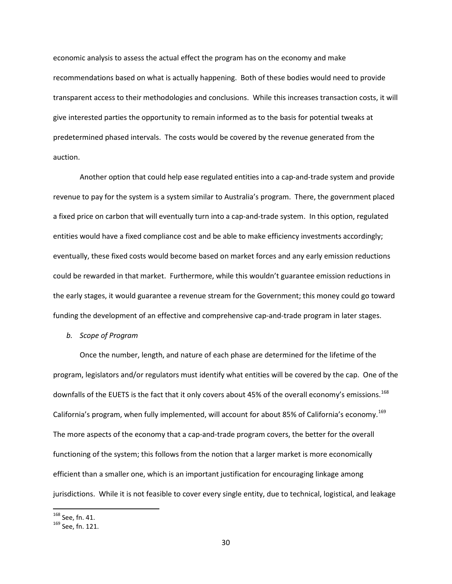economic analysis to assess the actual effect the program has on the economy and make recommendations based on what is actually happening. Both of these bodies would need to provide transparent access to their methodologies and conclusions. While this increases transaction costs, it will give interested parties the opportunity to remain informed as to the basis for potential tweaks at predetermined phased intervals. The costs would be covered by the revenue generated from the auction.

Another option that could help ease regulated entities into a cap-and-trade system and provide revenue to pay for the system is a system similar to Australia's program. There, the government placed a fixed price on carbon that will eventually turn into a cap-and-trade system. In this option, regulated entities would have a fixed compliance cost and be able to make efficiency investments accordingly; eventually, these fixed costs would become based on market forces and any early emission reductions could be rewarded in that market. Furthermore, while this wouldn't guarantee emission reductions in the early stages, it would guarantee a revenue stream for the Government; this money could go toward funding the development of an effective and comprehensive cap-and-trade program in later stages.

#### *b. Scope of Program*

Once the number, length, and nature of each phase are determined for the lifetime of the program, legislators and/or regulators must identify what entities will be covered by the cap. One of the downfalls of the EUETS is the fact that it only covers about 45% of the overall economy's emissions.<sup>168</sup> California's program, when fully implemented, will account for about 85% of California's economy.[169](#page-29-1) The more aspects of the economy that a cap-and-trade program covers, the better for the overall functioning of the system; this follows from the notion that a larger market is more economically efficient than a smaller one, which is an important justification for encouraging linkage among jurisdictions. While it is not feasible to cover every single entity, due to technical, logistical, and leakage

<span id="page-29-1"></span><span id="page-29-0"></span> $^{168}$  See, fn. 41.<br> $^{169}$  See, fn. 121.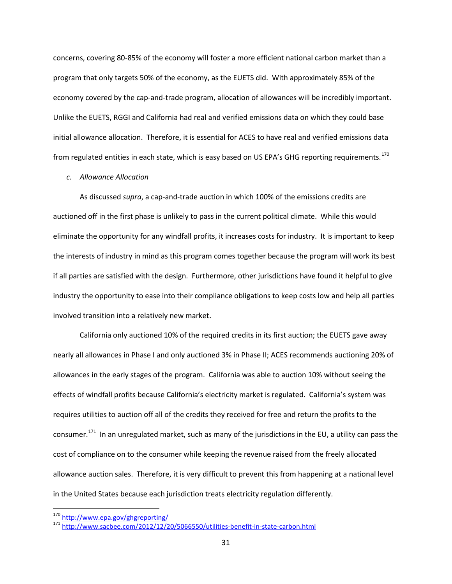concerns, covering 80-85% of the economy will foster a more efficient national carbon market than a program that only targets 50% of the economy, as the EUETS did. With approximately 85% of the economy covered by the cap-and-trade program, allocation of allowances will be incredibly important. Unlike the EUETS, RGGI and California had real and verified emissions data on which they could base initial allowance allocation. Therefore, it is essential for ACES to have real and verified emissions data from regulated entities in each state, which is easy based on US EPA's GHG reporting requirements.<sup>[170](#page-30-0)</sup>

#### *c. Allowance Allocation*

As discussed *supra*, a cap-and-trade auction in which 100% of the emissions credits are auctioned off in the first phase is unlikely to pass in the current political climate. While this would eliminate the opportunity for any windfall profits, it increases costs for industry. It is important to keep the interests of industry in mind as this program comes together because the program will work its best if all parties are satisfied with the design. Furthermore, other jurisdictions have found it helpful to give industry the opportunity to ease into their compliance obligations to keep costs low and help all parties involved transition into a relatively new market.

California only auctioned 10% of the required credits in its first auction; the EUETS gave away nearly all allowances in Phase I and only auctioned 3% in Phase II; ACES recommends auctioning 20% of allowances in the early stages of the program. California was able to auction 10% without seeing the effects of windfall profits because California's electricity market is regulated. California's system was requires utilities to auction off all of the credits they received for free and return the profits to the consumer.[171](#page-30-1) In an unregulated market, such as many of the jurisdictions in the EU, a utility can pass the cost of compliance on to the consumer while keeping the revenue raised from the freely allocated allowance auction sales. Therefore, it is very difficult to prevent this from happening at a national level in the United States because each jurisdiction treats electricity regulation differently.

<span id="page-30-1"></span>

<span id="page-30-0"></span><sup>170</sup> <http://www.epa.gov/ghgreporting/><br>171 <http://www.sacbee.com/2012/12/20/5066550/utilities-benefit-in-state-carbon.html>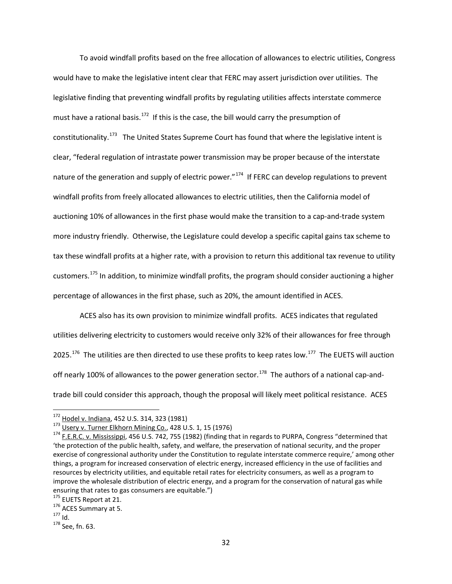To avoid windfall profits based on the free allocation of allowances to electric utilities, Congress would have to make the legislative intent clear that FERC may assert jurisdiction over utilities. The legislative finding that preventing windfall profits by regulating utilities affects interstate commerce must have a rational basis.<sup>172</sup> If this is the case, the bill would carry the presumption of constitutionality.<sup>173</sup> The United States Supreme Court has found that where the legislative intent is clear, "federal regulation of intrastate power transmission may be proper because of the interstate nature of the generation and supply of electric power."<sup>174</sup> If FERC can develop regulations to prevent windfall profits from freely allocated allowances to electric utilities, then the California model of auctioning 10% of allowances in the first phase would make the transition to a cap-and-trade system more industry friendly. Otherwise, the Legislature could develop a specific capital gains tax scheme to tax these windfall profits at a higher rate, with a provision to return this additional tax revenue to utility customers.<sup>[175](#page-31-3)</sup> In addition, to minimize windfall profits, the program should consider auctioning a higher percentage of allowances in the first phase, such as 20%, the amount identified in ACES.

ACES also has its own provision to minimize windfall profits. ACES indicates that regulated utilities delivering electricity to customers would receive only 32% of their allowances for free through 2025.<sup>[176](#page-31-4)</sup> The utilities are then directed to use these profits to keep rates low.<sup>177</sup> The EUETS will auction off nearly 100% of allowances to the power generation sector.<sup>178</sup> The authors of a national cap-andtrade bill could consider this approach, though the proposal will likely meet political resistance. ACES

<span id="page-31-2"></span>

<span id="page-31-1"></span><span id="page-31-0"></span><sup>&</sup>lt;sup>172</sup> Hodel v. Indiana, 452 U.S. 314, 323 (1981)<br><sup>173</sup> Usery v. Turner Elkhorn Mining Co., 428 U.S. 1, 15 (1976)<br><sup>174</sup> F.<u>E.R.C. v. Mississippi</u>, 456 U.S. 742, 755 (1982) (finding that in regards to PURPA, Congress "determ 'the protection of the public health, safety, and welfare, the preservation of national security, and the proper exercise of congressional authority under the Constitution to regulate interstate commerce require,' among other things, a program for increased conservation of electric energy, increased efficiency in the use of facilities and resources by electricity utilities, and equitable retail rates for electricity consumers, as well as a program to improve the wholesale distribution of electric energy, and a program for the conservation of natural gas while ensuring that rates to gas consumers are equitable.")<br>
<sup>175</sup> EUETS Report at 21.<br>
<sup>176</sup> ACES Summary at 5.<br>
<sup>177</sup> Id.<br>
<sup>178</sup> See, fn. 63.

<span id="page-31-4"></span><span id="page-31-3"></span>

<span id="page-31-5"></span>

<span id="page-31-6"></span>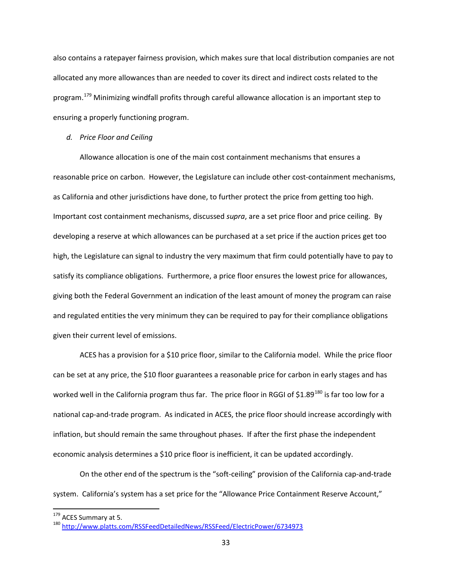also contains a ratepayer fairness provision, which makes sure that local distribution companies are not allocated any more allowances than are needed to cover its direct and indirect costs related to the program.<sup>[179](#page-32-0)</sup> Minimizing windfall profits through careful allowance allocation is an important step to ensuring a properly functioning program.

### *d. Price Floor and Ceiling*

Allowance allocation is one of the main cost containment mechanisms that ensures a reasonable price on carbon. However, the Legislature can include other cost-containment mechanisms, as California and other jurisdictions have done, to further protect the price from getting too high. Important cost containment mechanisms, discussed *supra*, are a set price floor and price ceiling. By developing a reserve at which allowances can be purchased at a set price if the auction prices get too high, the Legislature can signal to industry the very maximum that firm could potentially have to pay to satisfy its compliance obligations. Furthermore, a price floor ensures the lowest price for allowances, giving both the Federal Government an indication of the least amount of money the program can raise and regulated entities the very minimum they can be required to pay for their compliance obligations given their current level of emissions.

ACES has a provision for a \$10 price floor, similar to the California model. While the price floor can be set at any price, the \$10 floor guarantees a reasonable price for carbon in early stages and has worked well in the California program thus far. The price floor in RGGI of \$1.89<sup>[180](#page-32-1)</sup> is far too low for a national cap-and-trade program. As indicated in ACES, the price floor should increase accordingly with inflation, but should remain the same throughout phases. If after the first phase the independent economic analysis determines a \$10 price floor is inefficient, it can be updated accordingly.

On the other end of the spectrum is the "soft-ceiling" provision of the California cap-and-trade system. California's system has a set price for the "Allowance Price Containment Reserve Account,"

<span id="page-32-1"></span>

<span id="page-32-0"></span><sup>&</sup>lt;sup>179</sup> ACES Summary at 5.<br><sup>180</sup> http://www.platts.com/RSSFeed<u>DetailedNews/RSSFeed/ElectricPower/6734973</u>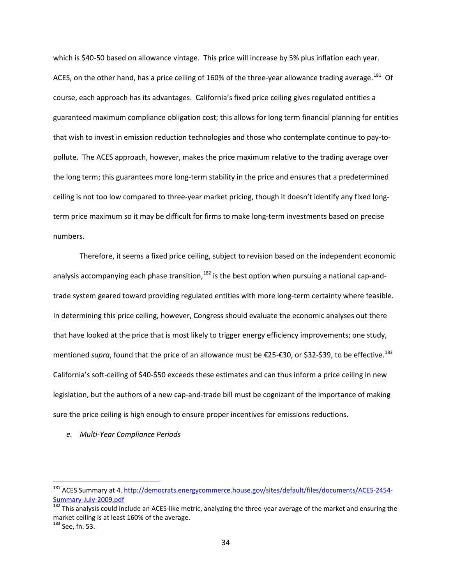which is \$40-50 based on allowance vintage. This price will increase by 5% plus inflation each year. ACES, on the other hand, has a price ceiling of 160% of the three-year allowance trading average.<sup>181</sup> Of course, each approach has its advantages. California's fixed price ceiling gives regulated entities a guaranteed maximum compliance obligation cost; this allows for long term financial planning for entities that wish to invest in emission reduction technologies and those who contemplate continue to pay-topollute. The ACES approach, however, makes the price maximum relative to the trading average over the long term; this guarantees more long-term stability in the price and ensures that a predetermined ceiling is not too low compared to three-year market pricing, though it doesn't identify any fixed longterm price maximum so it may be difficult for firms to make long-term investments based on precise numbers.

Therefore, it seems a fixed price ceiling, subject to revision based on the independent economic analysis accompanying each phase transition,  $182$  is the best option when pursuing a national cap-andtrade system geared toward providing regulated entities with more long-term certainty where feasible. In determining this price ceiling, however, Congress should evaluate the economic analyses out there that have looked at the price that is most likely to trigger energy efficiency improvements; one study, mentioned *supra*, found that the price of an allowance must be €25-€30, or \$32-\$39, to be effective.<sup>183</sup> California's soft-ceiling of \$40-\$50 exceeds these estimates and can thus inform a price ceiling in new legislation, but the authors of a new cap-and-trade bill must be cognizant of the importance of making sure the price ceiling is high enough to ensure proper incentives for emissions reductions.

*e. Multi-Year Compliance Periods*

<span id="page-33-0"></span><sup>&</sup>lt;sup>181</sup> ACES Summary at 4. [http://democrats.energycommerce.house.gov/sites/default/files/documents/ACES-2454-](http://democrats.energycommerce.house.gov/sites/default/files/documents/ACES-2454-Summary-July-2009.pdf) [Summary-July-2009.pdf](http://democrats.energycommerce.house.gov/sites/default/files/documents/ACES-2454-Summary-July-2009.pdf)<br><sup>182</sup> This analysis could include an ACES-like metric, analyzing the three-year average of the market and ensuring the

<span id="page-33-1"></span>market ceiling is at least 160% of the average.

<span id="page-33-2"></span><sup>183</sup> See, fn. 53.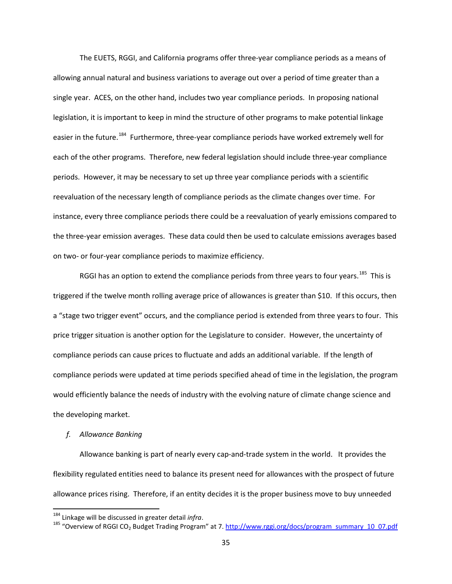The EUETS, RGGI, and California programs offer three-year compliance periods as a means of allowing annual natural and business variations to average out over a period of time greater than a single year. ACES, on the other hand, includes two year compliance periods. In proposing national legislation, it is important to keep in mind the structure of other programs to make potential linkage easier in the future.<sup>[184](#page-34-0)</sup> Furthermore, three-year compliance periods have worked extremely well for each of the other programs. Therefore, new federal legislation should include three-year compliance periods. However, it may be necessary to set up three year compliance periods with a scientific reevaluation of the necessary length of compliance periods as the climate changes over time. For instance, every three compliance periods there could be a reevaluation of yearly emissions compared to the three-year emission averages. These data could then be used to calculate emissions averages based on two- or four-year compliance periods to maximize efficiency.

RGGI has an option to extend the compliance periods from three years to four years.<sup>[185](#page-34-1)</sup> This is triggered if the twelve month rolling average price of allowances is greater than \$10. If this occurs, then a "stage two trigger event" occurs, and the compliance period is extended from three years to four. This price trigger situation is another option for the Legislature to consider. However, the uncertainty of compliance periods can cause prices to fluctuate and adds an additional variable. If the length of compliance periods were updated at time periods specified ahead of time in the legislation, the program would efficiently balance the needs of industry with the evolving nature of climate change science and the developing market.

### *f. Allowance Banking*

Allowance banking is part of nearly every cap-and-trade system in the world. It provides the flexibility regulated entities need to balance its present need for allowances with the prospect of future allowance prices rising. Therefore, if an entity decides it is the proper business move to buy unneeded

<span id="page-34-1"></span><span id="page-34-0"></span>

<sup>&</sup>lt;sup>184</sup> Linkage will be discussed in greater detail *infra*.<br><sup>185</sup> "Overview of RGGI CO<sub>2</sub> Budget Trading Program" at 7. <u>[http://www.rggi.org/docs/program\\_summary\\_10\\_07.pdf](http://www.rggi.org/docs/program_summary_10_07.pdf)</u>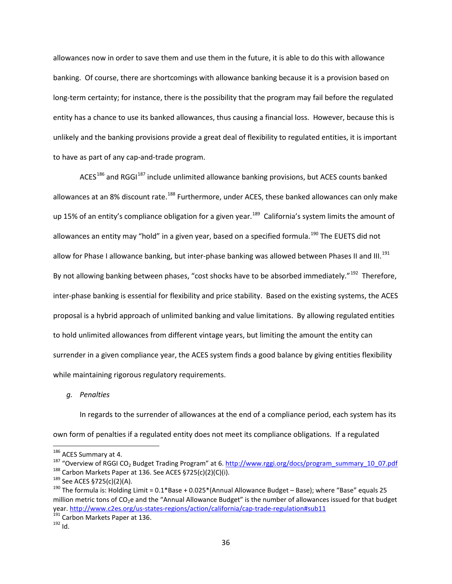allowances now in order to save them and use them in the future, it is able to do this with allowance banking. Of course, there are shortcomings with allowance banking because it is a provision based on long-term certainty; for instance, there is the possibility that the program may fail before the regulated entity has a chance to use its banked allowances, thus causing a financial loss. However, because this is unlikely and the banking provisions provide a great deal of flexibility to regulated entities, it is important to have as part of any cap-and-trade program.

 $ACES^{186}$  $ACES^{186}$  $ACES^{186}$  and RGGI<sup>[187](#page-35-1)</sup> include unlimited allowance banking provisions, but ACES counts banked allowances at an 8% discount rate.<sup>[188](#page-35-2)</sup> Furthermore, under ACES, these banked allowances can only make up 15% of an entity's compliance obligation for a given year.<sup>[189](#page-35-3)</sup> California's system limits the amount of allowances an entity may "hold" in a given year, based on a specified formula.<sup>[190](#page-35-4)</sup> The EUETS did not allow for Phase I allowance banking, but inter-phase banking was allowed between Phases II and III.<sup>[191](#page-35-5)</sup> By not allowing banking between phases, "cost shocks have to be absorbed immediately."<sup>[192](#page-35-6)</sup> Therefore, inter-phase banking is essential for flexibility and price stability. Based on the existing systems, the ACES proposal is a hybrid approach of unlimited banking and value limitations. By allowing regulated entities to hold unlimited allowances from different vintage years, but limiting the amount the entity can surrender in a given compliance year, the ACES system finds a good balance by giving entities flexibility while maintaining rigorous regulatory requirements.

*g. Penalties*

In regards to the surrender of allowances at the end of a compliance period, each system has its own form of penalties if a regulated entity does not meet its compliance obligations. If a regulated

<span id="page-35-1"></span><span id="page-35-0"></span><sup>&</sup>lt;sup>186</sup> ACES Summary at 4.<br><sup>187</sup> "Overview of RGGI CO<sub>2</sub> Budget Trading Program" at 6. [http://www.rggi.org/docs/program\\_summary\\_10\\_07.pdf](http://www.rggi.org/docs/program_summary_10_07.pdf)<br><sup>188</sup> Carbon Markets Paper at 136. See ACES §725(c)(2)(C)(i).<br><sup>189</sup> See ACES §725(c)(2

<span id="page-35-3"></span><span id="page-35-2"></span>

<span id="page-35-4"></span>million metric tons of CO<sub>2</sub>e and the "Annual Allowance Budget" is the number of allowances issued for that budget year[. http://www.c2es.org/us-states-regions/action/california/cap-trade-regulation#sub11](http://www.c2es.org/us-states-regions/action/california/cap-trade-regulation#sub11)<br><sup>191</sup> Carbon Markets Paper at 136.<br><sup>192</sup> Id

<span id="page-35-5"></span>

<span id="page-35-6"></span>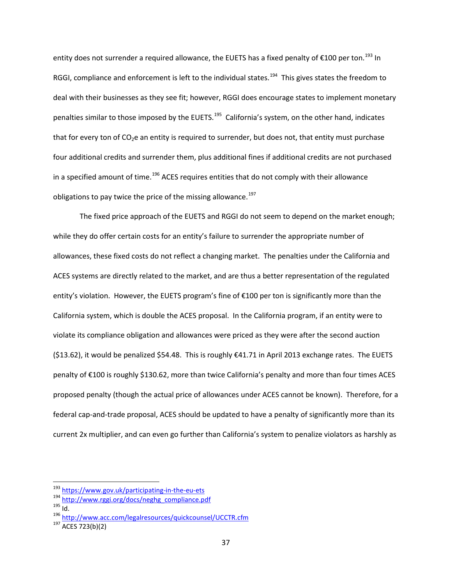entity does not surrender a required allowance, the EUETS has a fixed penalty of  $\epsilon$ 100 per ton.<sup>[193](#page-36-0)</sup> In RGGI, compliance and enforcement is left to the individual states.<sup>[194](#page-36-1)</sup> This gives states the freedom to deal with their businesses as they see fit; however, RGGI does encourage states to implement monetary penalties similar to those imposed by the EUETS.<sup>195</sup> California's system, on the other hand, indicates that for every ton of  $CO<sub>2</sub>e$  an entity is required to surrender, but does not, that entity must purchase four additional credits and surrender them, plus additional fines if additional credits are not purchased in a specified amount of time.<sup>[196](#page-36-3)</sup> ACES requires entities that do not comply with their allowance obligations to pay twice the price of the missing allowance.<sup>197</sup>

The fixed price approach of the EUETS and RGGI do not seem to depend on the market enough; while they do offer certain costs for an entity's failure to surrender the appropriate number of allowances, these fixed costs do not reflect a changing market. The penalties under the California and ACES systems are directly related to the market, and are thus a better representation of the regulated entity's violation. However, the EUETS program's fine of €100 per ton is significantly more than the California system, which is double the ACES proposal. In the California program, if an entity were to violate its compliance obligation and allowances were priced as they were after the second auction (\$13.62), it would be penalized \$54.48. This is roughly €41.71 in April 2013 exchange rates. The EUETS penalty of €100 is roughly \$130.62, more than twice California's penalty and more than four times ACES proposed penalty (though the actual price of allowances under ACES cannot be known). Therefore, for a federal cap-and-trade proposal, ACES should be updated to have a penalty of significantly more than its current 2x multiplier, and can even go further than California's system to penalize violators as harshly as

<span id="page-36-3"></span><span id="page-36-2"></span>

<span id="page-36-1"></span><span id="page-36-0"></span><sup>&</sup>lt;sup>193</sup> <https://www.gov.uk/participating-in-the-eu-ets><br><sup>194</sup> [http://www.rggi.org/docs/neghg\\_compliance.pdf](http://www.rggi.org/docs/neghg_compliance.pdf)<br><sup>195</sup> Id. <sup>196</sup> <http://www.acc.com/legalresources/quickcounsel/UCCTR.cfm><br><sup>197</sup> ACES 723(b)(2)

<span id="page-36-4"></span>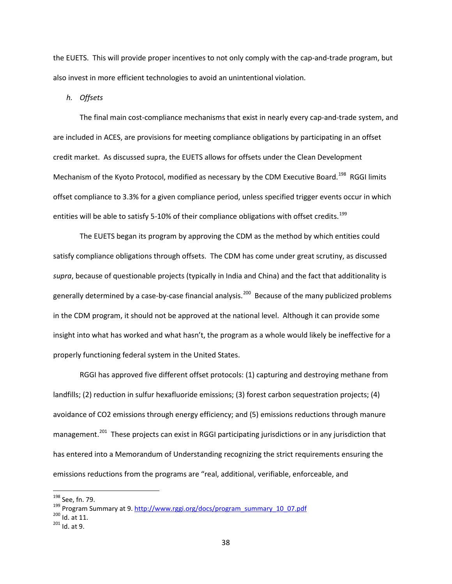the EUETS. This will provide proper incentives to not only comply with the cap-and-trade program, but also invest in more efficient technologies to avoid an unintentional violation.

*h. Offsets*

The final main cost-compliance mechanisms that exist in nearly every cap-and-trade system, and are included in ACES, are provisions for meeting compliance obligations by participating in an offset credit market. As discussed supra, the EUETS allows for offsets under the Clean Development Mechanism of the Kyoto Protocol, modified as necessary by the CDM Executive Board.<sup>[198](#page-37-0)</sup> RGGI limits offset compliance to 3.3% for a given compliance period, unless specified trigger events occur in which entities will be able to satisfy 5-10% of their compliance obligations with offset credits.<sup>[199](#page-37-1)</sup>

The EUETS began its program by approving the CDM as the method by which entities could satisfy compliance obligations through offsets. The CDM has come under great scrutiny, as discussed *supra*, because of questionable projects (typically in India and China) and the fact that additionality is generally determined by a case-by-case financial analysis.<sup>200</sup> Because of the many publicized problems in the CDM program, it should not be approved at the national level. Although it can provide some insight into what has worked and what hasn't, the program as a whole would likely be ineffective for a properly functioning federal system in the United States.

RGGI has approved five different offset protocols: (1) capturing and destroying methane from landfills; (2) reduction in sulfur hexafluoride emissions; (3) forest carbon sequestration projects; (4) avoidance of CO2 emissions through energy efficiency; and (5) emissions reductions through manure management.<sup>[201](#page-37-3)</sup> These projects can exist in RGGI participating jurisdictions or in any jurisdiction that has entered into a Memorandum of Understanding recognizing the strict requirements ensuring the emissions reductions from the programs are "real, additional, verifiable, enforceable, and

<span id="page-37-1"></span><span id="page-37-0"></span><sup>&</sup>lt;sup>198</sup> See, fn. 79.<br><sup>199</sup> Program Summary at 9. [http://www.rggi.org/docs/program\\_summary\\_10\\_07.pdf](http://www.rggi.org/docs/program_summary_10_07.pdf) <sup>200</sup> Id. at 11.<br><sup>201</sup> Id. at 9.

<span id="page-37-2"></span>

<span id="page-37-3"></span>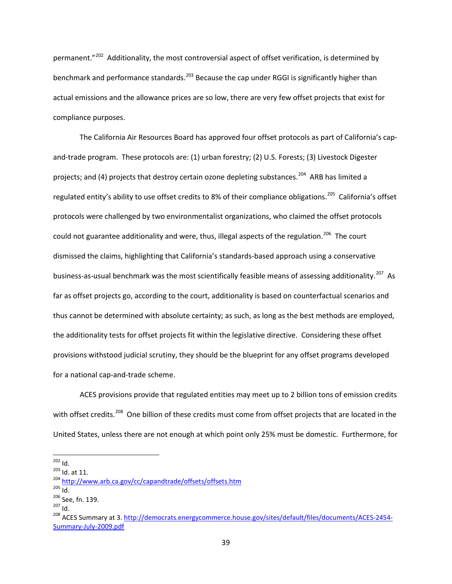permanent."[202](#page-38-0) Additionality, the most controversial aspect of offset verification, is determined by benchmark and performance standards.<sup>[203](#page-38-1)</sup> Because the cap under RGGI is significantly higher than actual emissions and the allowance prices are so low, there are very few offset projects that exist for compliance purposes.

The California Air Resources Board has approved four offset protocols as part of California's capand-trade program. These protocols are: (1) urban forestry; (2) U.S. Forests; (3) Livestock Digester projects; and (4) projects that destroy certain ozone depleting substances.<sup>204</sup> ARB has limited a regulated entity's ability to use offset credits to 8% of their compliance obligations.<sup>[205](#page-38-3)</sup> California's offset protocols were challenged by two environmentalist organizations, who claimed the offset protocols could not guarantee additionality and were, thus, illegal aspects of the regulation.<sup>206</sup> The court dismissed the claims, highlighting that California's standards-based approach using a conservative business-as-usual benchmark was the most scientifically feasible means of assessing additionality.<sup>207</sup> As far as offset projects go, according to the court, additionality is based on counterfactual scenarios and thus cannot be determined with absolute certainty; as such, as long as the best methods are employed, the additionality tests for offset projects fit within the legislative directive. Considering these offset provisions withstood judicial scrutiny, they should be the blueprint for any offset programs developed for a national cap-and-trade scheme.

ACES provisions provide that regulated entities may meet up to 2 billion tons of emission credits with offset credits.<sup>208</sup> One billion of these credits must come from offset projects that are located in the United States, unless there are not enough at which point only 25% must be domestic. Furthermore, for

<span id="page-38-2"></span>

<span id="page-38-3"></span>

<span id="page-38-4"></span>

<span id="page-38-6"></span><span id="page-38-5"></span>

<span id="page-38-1"></span><span id="page-38-0"></span><sup>&</sup>lt;sup>202</sup> Id.<br><sup>203</sup> Id. at 11.<br><sup>204</sup> <http://www.arb.ca.gov/cc/capandtrade/offsets/offsets.htm><br><sup>206</sup> Id.<br><sup>206</sup> See, fn. 139.<br><sup>207</sup> Id.<br><sup>208</sup> ACES Summary at 3. <u>http://democrats.energycommerce.house.gov/sites/default/files/docu</u> [Summary-July-2009.pdf](http://democrats.energycommerce.house.gov/sites/default/files/documents/ACES-2454-Summary-July-2009.pdf)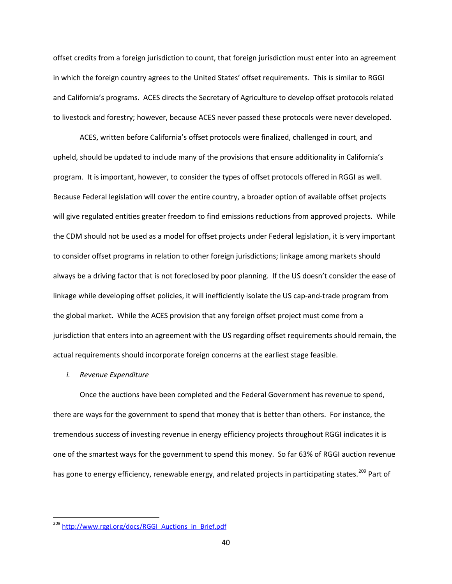offset credits from a foreign jurisdiction to count, that foreign jurisdiction must enter into an agreement in which the foreign country agrees to the United States' offset requirements. This is similar to RGGI and California's programs. ACES directs the Secretary of Agriculture to develop offset protocols related to livestock and forestry; however, because ACES never passed these protocols were never developed.

ACES, written before California's offset protocols were finalized, challenged in court, and upheld, should be updated to include many of the provisions that ensure additionality in California's program. It is important, however, to consider the types of offset protocols offered in RGGI as well. Because Federal legislation will cover the entire country, a broader option of available offset projects will give regulated entities greater freedom to find emissions reductions from approved projects. While the CDM should not be used as a model for offset projects under Federal legislation, it is very important to consider offset programs in relation to other foreign jurisdictions; linkage among markets should always be a driving factor that is not foreclosed by poor planning. If the US doesn't consider the ease of linkage while developing offset policies, it will inefficiently isolate the US cap-and-trade program from the global market. While the ACES provision that any foreign offset project must come from a jurisdiction that enters into an agreement with the US regarding offset requirements should remain, the actual requirements should incorporate foreign concerns at the earliest stage feasible.

#### *i. Revenue Expenditure*

Once the auctions have been completed and the Federal Government has revenue to spend, there are ways for the government to spend that money that is better than others. For instance, the tremendous success of investing revenue in energy efficiency projects throughout RGGI indicates it is one of the smartest ways for the government to spend this money. So far 63% of RGGI auction revenue has gone to energy efficiency, renewable energy, and related projects in participating states.<sup>[209](#page-39-0)</sup> Part of

<span id="page-39-0"></span><sup>&</sup>lt;sup>209</sup> [http://www.rggi.org/docs/RGGI\\_Auctions\\_in\\_Brief.pdf](http://www.rggi.org/docs/RGGI_Auctions_in_Brief.pdf)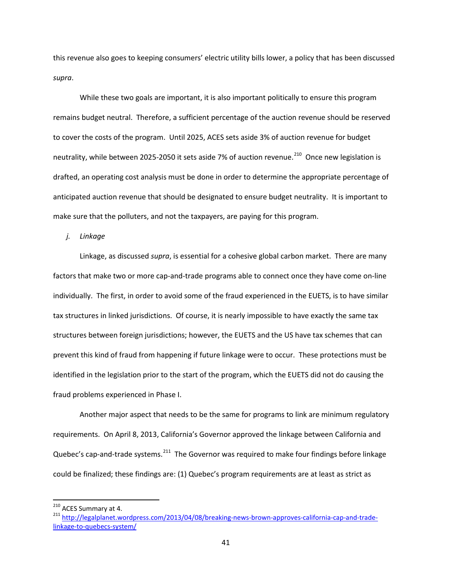this revenue also goes to keeping consumers' electric utility bills lower, a policy that has been discussed *supra*.

While these two goals are important, it is also important politically to ensure this program remains budget neutral. Therefore, a sufficient percentage of the auction revenue should be reserved to cover the costs of the program. Until 2025, ACES sets aside 3% of auction revenue for budget neutrality, while between 2025-2050 it sets aside 7% of auction revenue.<sup>210</sup> Once new legislation is drafted, an operating cost analysis must be done in order to determine the appropriate percentage of anticipated auction revenue that should be designated to ensure budget neutrality. It is important to make sure that the polluters, and not the taxpayers, are paying for this program.

*j. Linkage*

Linkage, as discussed *supra*, is essential for a cohesive global carbon market. There are many factors that make two or more cap-and-trade programs able to connect once they have come on-line individually. The first, in order to avoid some of the fraud experienced in the EUETS, is to have similar tax structures in linked jurisdictions. Of course, it is nearly impossible to have exactly the same tax structures between foreign jurisdictions; however, the EUETS and the US have tax schemes that can prevent this kind of fraud from happening if future linkage were to occur. These protections must be identified in the legislation prior to the start of the program, which the EUETS did not do causing the fraud problems experienced in Phase I.

Another major aspect that needs to be the same for programs to link are minimum regulatory requirements. On April 8, 2013, California's Governor approved the linkage between California and Quebec's cap-and-trade systems.<sup>[211](#page-40-1)</sup> The Governor was required to make four findings before linkage could be finalized; these findings are: (1) Quebec's program requirements are at least as strict as

<span id="page-40-1"></span><span id="page-40-0"></span><sup>&</sup>lt;sup>210</sup> ACES Summary at 4.<br><sup>211</sup> [http://legalplanet.wordpress.com/2013/04/08/breaking-news-brown-approves-california-cap-and-trade](http://legalplanet.wordpress.com/2013/04/08/breaking-news-brown-approves-california-cap-and-trade-linkage-to-quebecs-system/)[linkage-to-quebecs-system/](http://legalplanet.wordpress.com/2013/04/08/breaking-news-brown-approves-california-cap-and-trade-linkage-to-quebecs-system/)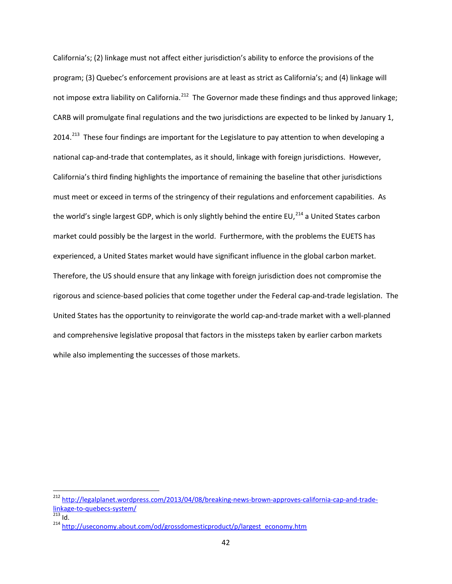California's; (2) linkage must not affect either jurisdiction's ability to enforce the provisions of the program; (3) Quebec's enforcement provisions are at least as strict as California's; and (4) linkage will not impose extra liability on California.<sup>212</sup> The Governor made these findings and thus approved linkage; CARB will promulgate final regulations and the two jurisdictions are expected to be linked by January 1, 2014.<sup>[213](#page-41-1)</sup> These four findings are important for the Legislature to pay attention to when developing a national cap-and-trade that contemplates, as it should, linkage with foreign jurisdictions. However, California's third finding highlights the importance of remaining the baseline that other jurisdictions must meet or exceed in terms of the stringency of their regulations and enforcement capabilities. As the world's single largest GDP, which is only slightly behind the entire EU, $^{214}$  $^{214}$  $^{214}$  a United States carbon market could possibly be the largest in the world. Furthermore, with the problems the EUETS has experienced, a United States market would have significant influence in the global carbon market. Therefore, the US should ensure that any linkage with foreign jurisdiction does not compromise the rigorous and science-based policies that come together under the Federal cap-and-trade legislation. The United States has the opportunity to reinvigorate the world cap-and-trade market with a well-planned and comprehensive legislative proposal that factors in the missteps taken by earlier carbon markets while also implementing the successes of those markets.

<span id="page-41-0"></span> <sup>212</sup> [http://legalplanet.wordpress.com/2013/04/08/breaking-news-brown-approves-california-cap-and-trade](http://legalplanet.wordpress.com/2013/04/08/breaking-news-brown-approves-california-cap-and-trade-linkage-to-quebecs-system/)[linkage-to-quebecs-system/](http://legalplanet.wordpress.com/2013/04/08/breaking-news-brown-approves-california-cap-and-trade-linkage-to-quebecs-system/)<br>
<sup>213</sup> Id.<br>
<sup>214</sup> http://useconomy<u>.about.com/od/grossdomesticproduct/p/largest\_economy.htm</u>

<span id="page-41-2"></span><span id="page-41-1"></span>